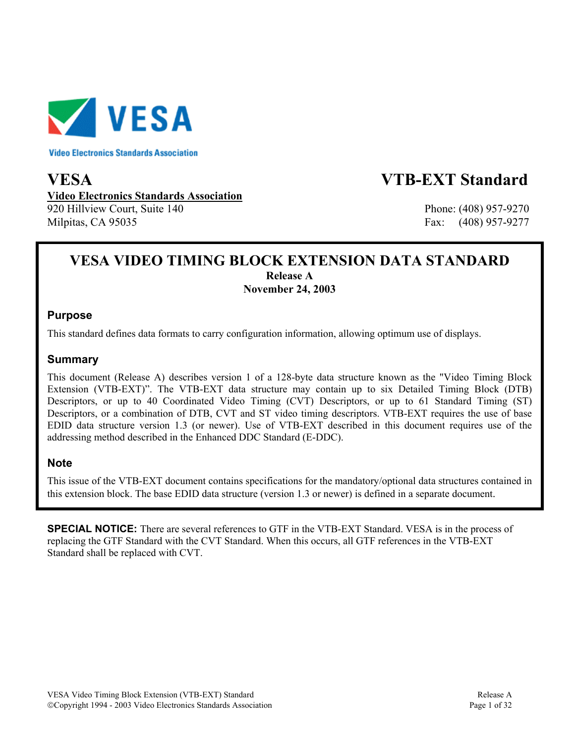

**Video Electronics Standards Association** 

#### **VESA VTB-EXT Standard Video Electronics Standards Association** 920 Hillview Court, Suite 140 Phone: (408) 957-9270 Milpitas, CA 95035 Fax: (408) 957-9277

#### **VESA VIDEO TIMING BLOCK EXTENSION DATA STANDARD Release A November 24, 2003**

#### **Purpose**

This standard defines data formats to carry configuration information, allowing optimum use of displays.

#### **Summary**

This document (Release A) describes version 1 of a 128-byte data structure known as the "Video Timing Block Extension (VTB-EXT)". The VTB-EXT data structure may contain up to six Detailed Timing Block (DTB) Descriptors, or up to 40 Coordinated Video Timing (CVT) Descriptors, or up to 61 Standard Timing (ST) Descriptors, or a combination of DTB, CVT and ST video timing descriptors. VTB-EXT requires the use of base EDID data structure version 1.3 (or newer). Use of VTB-EXT described in this document requires use of the addressing method described in the Enhanced DDC Standard (E-DDC).

#### **Note**

This issue of the VTB-EXT document contains specifications for the mandatory/optional data structures contained in this extension block. The base EDID data structure (version 1.3 or newer) is defined in a separate document.

**SPECIAL NOTICE:** There are several references to GTF in the VTB-EXT Standard. VESA is in the process of replacing the GTF Standard with the CVT Standard. When this occurs, all GTF references in the VTB-EXT Standard shall be replaced with CVT.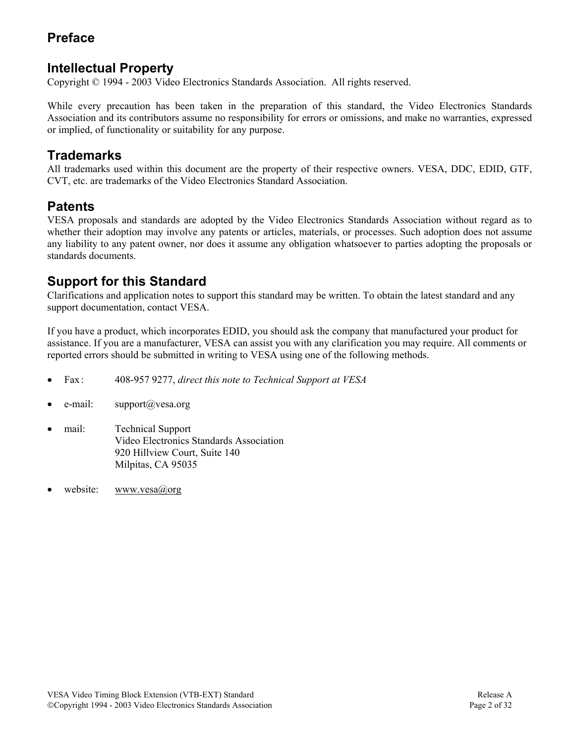## **Preface**

## **Intellectual Property**

Copyright © 1994 - 2003 Video Electronics Standards Association. All rights reserved.

While every precaution has been taken in the preparation of this standard, the Video Electronics Standards Association and its contributors assume no responsibility for errors or omissions, and make no warranties, expressed or implied, of functionality or suitability for any purpose.

#### **Trademarks**

All trademarks used within this document are the property of their respective owners. VESA, DDC, EDID, GTF, CVT, etc. are trademarks of the Video Electronics Standard Association.

#### **Patents**

VESA proposals and standards are adopted by the Video Electronics Standards Association without regard as to whether their adoption may involve any patents or articles, materials, or processes. Such adoption does not assume any liability to any patent owner, nor does it assume any obligation whatsoever to parties adopting the proposals or standards documents.

## **Support for this Standard**

Clarifications and application notes to support this standard may be written. To obtain the latest standard and any support documentation, contact VESA.

If you have a product, which incorporates EDID, you should ask the company that manufactured your product for assistance. If you are a manufacturer, VESA can assist you with any clarification you may require. All comments or reported errors should be submitted in writing to VESA using one of the following methods.

- Fax : 408-957 9277, *direct this note to Technical Support at VESA*
- e-mail: support@vesa.org
- mail: Technical Support Video Electronics Standards Association 920 Hillview Court, Suite 140 Milpitas, CA 95035
- website: www.vesa@org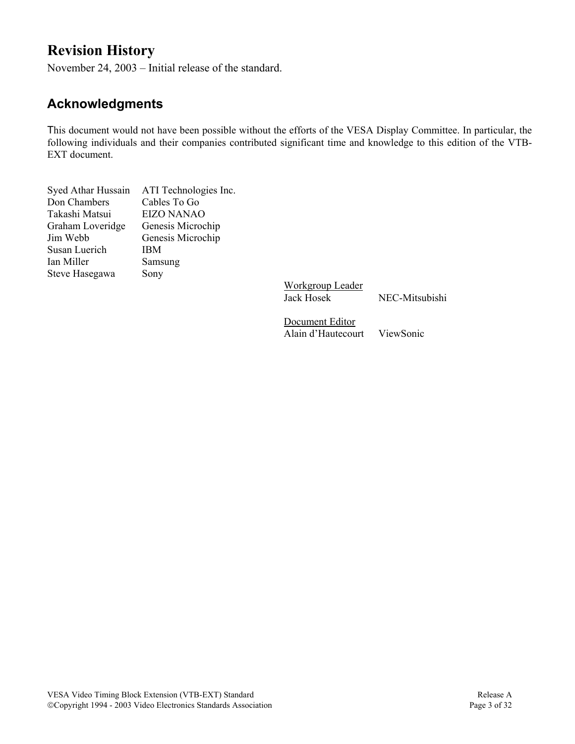# **Revision History**

November 24, 2003 – Initial release of the standard.

## **Acknowledgments**

This document would not have been possible without the efforts of the VESA Display Committee. In particular, the following individuals and their companies contributed significant time and knowledge to this edition of the VTB-EXT document.

| ATI Technologies Inc. |
|-----------------------|
| Cables To Go          |
| <b>EIZO NANAO</b>     |
| Genesis Microchip     |
| Genesis Microchip     |
| <b>IBM</b>            |
| Samsung               |
| Sony                  |
|                       |

Workgroup Leader<br>Jack Hosek

NEC-Mitsubishi

 Document Editor Alain d'Hautecourt ViewSonic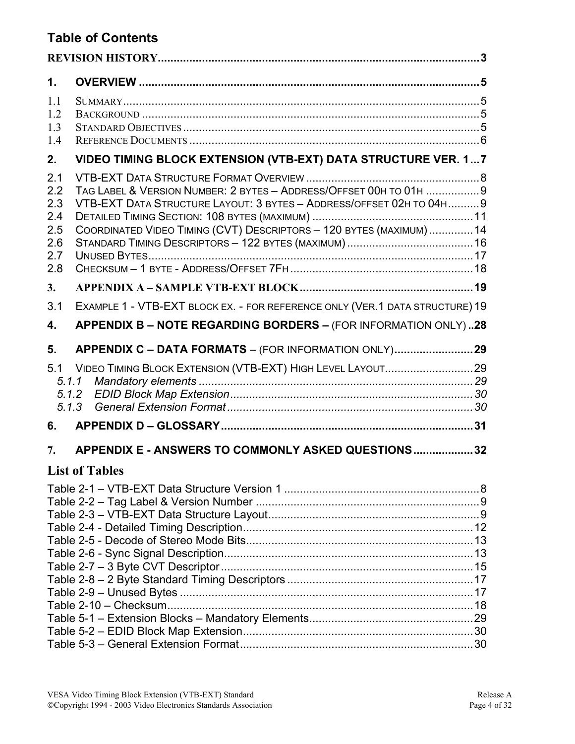## **Table of Contents**

| 1.                                                   |                                                                                                                                                                                                                   |  |
|------------------------------------------------------|-------------------------------------------------------------------------------------------------------------------------------------------------------------------------------------------------------------------|--|
| 1.1<br>1.2<br>1.3<br>1.4                             |                                                                                                                                                                                                                   |  |
| 2.                                                   | VIDEO TIMING BLOCK EXTENSION (VTB-EXT) DATA STRUCTURE VER. 1 7                                                                                                                                                    |  |
| 2.1<br>2.2<br>2.3<br>2.4<br>2.5<br>2.6<br>2.7<br>2.8 | TAG LABEL & VERSION NUMBER: 2 BYTES - ADDRESS/OFFSET 00H TO 01H  9<br>VTB-EXT DATA STRUCTURE LAYOUT: 3 BYTES - ADDRESS/OFFSET 02H TO 04H9<br>COORDINATED VIDEO TIMING (CVT) DESCRIPTORS - 120 BYTES (MAXIMUM)  14 |  |
| 3.                                                   |                                                                                                                                                                                                                   |  |
| 3.1                                                  | EXAMPLE 1 - VTB-EXT BLOCK EX. - FOR REFERENCE ONLY (VER.1 DATA STRUCTURE) 19                                                                                                                                      |  |
| 4.                                                   | APPENDIX B - NOTE REGARDING BORDERS - (FOR INFORMATION ONLY)28                                                                                                                                                    |  |
| 5.                                                   | APPENDIX C - DATA FORMATS - (FOR INFORMATION ONLY)29                                                                                                                                                              |  |
| 5.1<br>5.1.1                                         | 5.1.3                                                                                                                                                                                                             |  |
| 6.                                                   |                                                                                                                                                                                                                   |  |
| 7.                                                   | APPENDIX E - ANSWERS TO COMMONLY ASKED QUESTIONS32                                                                                                                                                                |  |
|                                                      | <b>List of Tables</b>                                                                                                                                                                                             |  |
|                                                      |                                                                                                                                                                                                                   |  |
|                                                      |                                                                                                                                                                                                                   |  |
|                                                      |                                                                                                                                                                                                                   |  |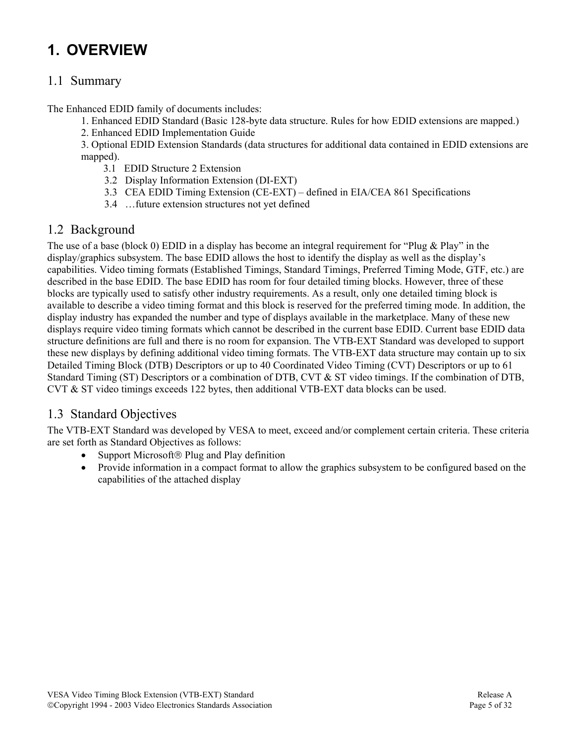# **1. OVERVIEW**

#### 1.1 Summary

The Enhanced EDID family of documents includes:

- 1. Enhanced EDID Standard (Basic 128-byte data structure. Rules for how EDID extensions are mapped.)
- 2. Enhanced EDID Implementation Guide

3. Optional EDID Extension Standards (data structures for additional data contained in EDID extensions are mapped).

- 3.1 EDID Structure 2 Extension
- 3.2 Display Information Extension (DI-EXT)
- 3.3 CEA EDID Timing Extension (CE-EXT) defined in EIA/CEA 861 Specifications
- 3.4 …future extension structures not yet defined

#### 1.2 Background

The use of a base (block 0) EDID in a display has become an integral requirement for "Plug & Play" in the display/graphics subsystem. The base EDID allows the host to identify the display as well as the display's capabilities. Video timing formats (Established Timings, Standard Timings, Preferred Timing Mode, GTF, etc.) are described in the base EDID. The base EDID has room for four detailed timing blocks. However, three of these blocks are typically used to satisfy other industry requirements. As a result, only one detailed timing block is available to describe a video timing format and this block is reserved for the preferred timing mode. In addition, the display industry has expanded the number and type of displays available in the marketplace. Many of these new displays require video timing formats which cannot be described in the current base EDID. Current base EDID data structure definitions are full and there is no room for expansion. The VTB-EXT Standard was developed to support these new displays by defining additional video timing formats. The VTB-EXT data structure may contain up to six Detailed Timing Block (DTB) Descriptors or up to 40 Coordinated Video Timing (CVT) Descriptors or up to 61 Standard Timing (ST) Descriptors or a combination of DTB, CVT & ST video timings. If the combination of DTB, CVT & ST video timings exceeds 122 bytes, then additional VTB-EXT data blocks can be used.

#### 1.3 Standard Objectives

The VTB-EXT Standard was developed by VESA to meet, exceed and/or complement certain criteria. These criteria are set forth as Standard Objectives as follows:

- Support Microsoft<sup>®</sup> Plug and Play definition
- Provide information in a compact format to allow the graphics subsystem to be configured based on the capabilities of the attached display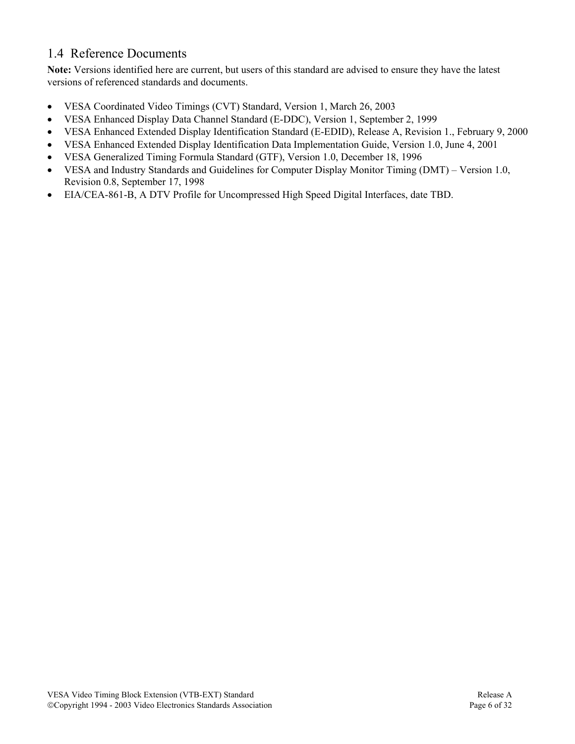#### 1.4 Reference Documents

**Note:** Versions identified here are current, but users of this standard are advised to ensure they have the latest versions of referenced standards and documents.

- VESA Coordinated Video Timings (CVT) Standard, Version 1, March 26, 2003
- VESA Enhanced Display Data Channel Standard (E-DDC), Version 1, September 2, 1999
- VESA Enhanced Extended Display Identification Standard (E-EDID), Release A, Revision 1., February 9, 2000
- VESA Enhanced Extended Display Identification Data Implementation Guide, Version 1.0, June 4, 2001
- VESA Generalized Timing Formula Standard (GTF), Version 1.0, December 18, 1996
- VESA and Industry Standards and Guidelines for Computer Display Monitor Timing (DMT) Version 1.0, Revision 0.8, September 17, 1998
- EIA/CEA-861-B, A DTV Profile for Uncompressed High Speed Digital Interfaces, date TBD.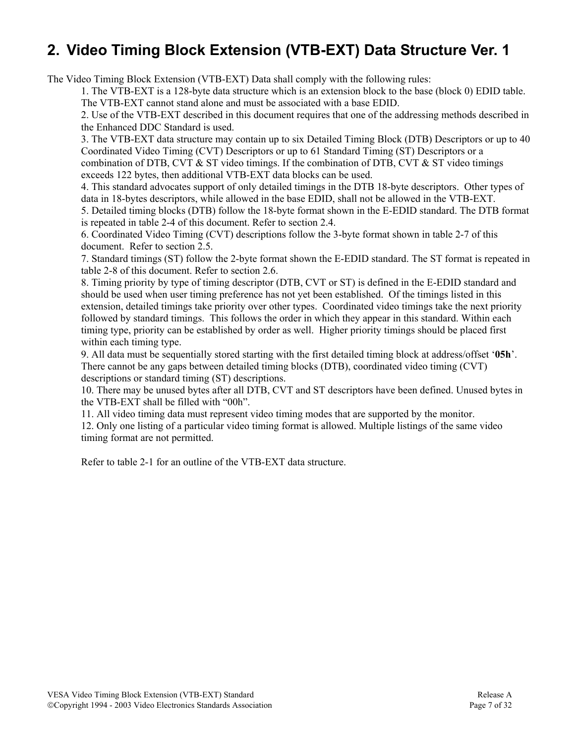# **2. Video Timing Block Extension (VTB-EXT) Data Structure Ver. 1**

The Video Timing Block Extension (VTB-EXT) Data shall comply with the following rules:

1. The VTB-EXT is a 128-byte data structure which is an extension block to the base (block 0) EDID table. The VTB-EXT cannot stand alone and must be associated with a base EDID.

2. Use of the VTB-EXT described in this document requires that one of the addressing methods described in the Enhanced DDC Standard is used.

3. The VTB-EXT data structure may contain up to six Detailed Timing Block (DTB) Descriptors or up to 40 Coordinated Video Timing (CVT) Descriptors or up to 61 Standard Timing (ST) Descriptors or a combination of DTB, CVT  $\&$  ST video timings. If the combination of DTB, CVT  $\&$  ST video timings exceeds 122 bytes, then additional VTB-EXT data blocks can be used.

4. This standard advocates support of only detailed timings in the DTB 18-byte descriptors. Other types of data in 18-bytes descriptors, while allowed in the base EDID, shall not be allowed in the VTB-EXT. 5. Detailed timing blocks (DTB) follow the 18-byte format shown in the E-EDID standard. The DTB format is repeated in table 2-4 of this document. Refer to section 2.4.

6. Coordinated Video Timing (CVT) descriptions follow the 3-byte format shown in table 2-7 of this document. Refer to section 2.5.

7. Standard timings (ST) follow the 2-byte format shown the E-EDID standard. The ST format is repeated in table 2-8 of this document. Refer to section 2.6.

8. Timing priority by type of timing descriptor (DTB, CVT or ST) is defined in the E-EDID standard and should be used when user timing preference has not yet been established. Of the timings listed in this extension, detailed timings take priority over other types. Coordinated video timings take the next priority followed by standard timings. This follows the order in which they appear in this standard. Within each timing type, priority can be established by order as well. Higher priority timings should be placed first within each timing type.

9. All data must be sequentially stored starting with the first detailed timing block at address/offset '**05h**'. There cannot be any gaps between detailed timing blocks (DTB), coordinated video timing (CVT) descriptions or standard timing (ST) descriptions.

10. There may be unused bytes after all DTB, CVT and ST descriptors have been defined. Unused bytes in the VTB-EXT shall be filled with "00h".

11. All video timing data must represent video timing modes that are supported by the monitor.

12. Only one listing of a particular video timing format is allowed. Multiple listings of the same video timing format are not permitted.

Refer to table 2-1 for an outline of the VTB-EXT data structure.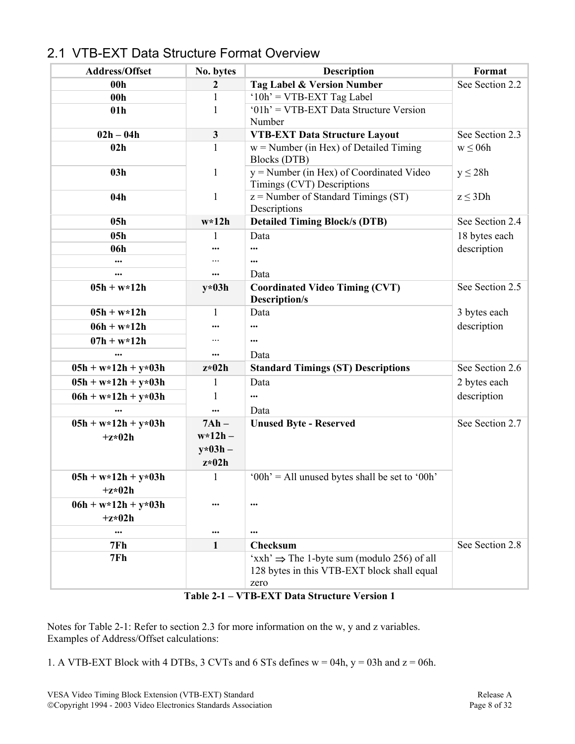## 2.1 VTB-EXT Data Structure Format Overview

| <b>Address/Offset</b> | No. bytes        | <b>Description</b>                                     | Format          |
|-----------------------|------------------|--------------------------------------------------------|-----------------|
| 00 <sub>h</sub>       | $\boldsymbol{2}$ | <b>Tag Label &amp; Version Number</b>                  | See Section 2.2 |
| 00 <sub>h</sub>       | 1                | $'10h'$ = VTB-EXT Tag Label                            |                 |
| 01 <sub>h</sub>       | 1                | '01h' = VTB-EXT Data Structure Version                 |                 |
|                       |                  | Number                                                 |                 |
| $02h - 04h$           | $\mathbf{3}$     | <b>VTB-EXT Data Structure Layout</b>                   | See Section 2.3 |
| 02h                   | 1                | $w =$ Number (in Hex) of Detailed Timing               | $w \leq 06h$    |
|                       |                  | <b>Blocks (DTB)</b>                                    |                 |
| 03h                   | 1                | $y$ = Number (in Hex) of Coordinated Video             | $y \leq 28h$    |
|                       |                  | Timings (CVT) Descriptions                             |                 |
| 04h                   | 1                | $z =$ Number of Standard Timings (ST)<br>Descriptions  | $z \leq 3Dh$    |
| 05h                   | $w*12h$          | <b>Detailed Timing Block/s (DTB)</b>                   | See Section 2.4 |
| 05h                   | 1                | Data                                                   | 18 bytes each   |
| 06h                   |                  | $\cdots$                                               | description     |
|                       |                  | $\cdots$                                               |                 |
|                       |                  | Data                                                   |                 |
| $05h + w*12h$         | $y*03h$          | <b>Coordinated Video Timing (CVT)</b>                  | See Section 2.5 |
|                       |                  | <b>Description/s</b>                                   |                 |
| $05h + w*12h$         | 1                | Data                                                   | 3 bytes each    |
| $06h + w*12h$         |                  | $\cdots$                                               | description     |
| $07h + w*12h$         |                  | $\cdots$                                               |                 |
|                       |                  | Data                                                   |                 |
| $05h + w*12h + y*03h$ | $z*02h$          | <b>Standard Timings (ST) Descriptions</b>              | See Section 2.6 |
| $05h + w*12h + y*03h$ | 1                | Data                                                   | 2 bytes each    |
| $06h + w*12h + y*03h$ | 1                | $\cdots$                                               | description     |
|                       | $\cdots$         | Data                                                   |                 |
| $05h + w*12h + y*03h$ | $7Ah -$          | <b>Unused Byte - Reserved</b>                          | See Section 2.7 |
| $+z*02h$              | $w*12h -$        |                                                        |                 |
|                       | $y*03h -$        |                                                        |                 |
|                       | $z*02h$          |                                                        |                 |
| $05h + w*12h + y*03h$ | 1                | $'00h' = All$ unused bytes shall be set to '00h'       |                 |
| $+z*02h$              |                  |                                                        |                 |
| $06h + w*12h + y*03h$ |                  | $\ddotsc$                                              |                 |
| $+z*02h$              |                  |                                                        |                 |
|                       |                  | $\cdots$                                               |                 |
| 7Fh                   | $\mathbf{1}$     | Checksum                                               | See Section 2.8 |
| 7Fh                   |                  | $'xxh' \Rightarrow$ The 1-byte sum (modulo 256) of all |                 |
|                       |                  | 128 bytes in this VTB-EXT block shall equal            |                 |
|                       |                  | zero                                                   |                 |
|                       |                  |                                                        |                 |

**Table 2-1 – VTB-EXT Data Structure Version 1** 

Notes for Table 2-1: Refer to section 2.3 for more information on the w, y and z variables. Examples of Address/Offset calculations:

1. A VTB-EXT Block with 4 DTBs, 3 CVTs and 6 STs defines  $w = 0.4h$ ,  $y = 0.3h$  and  $z = 0.6h$ .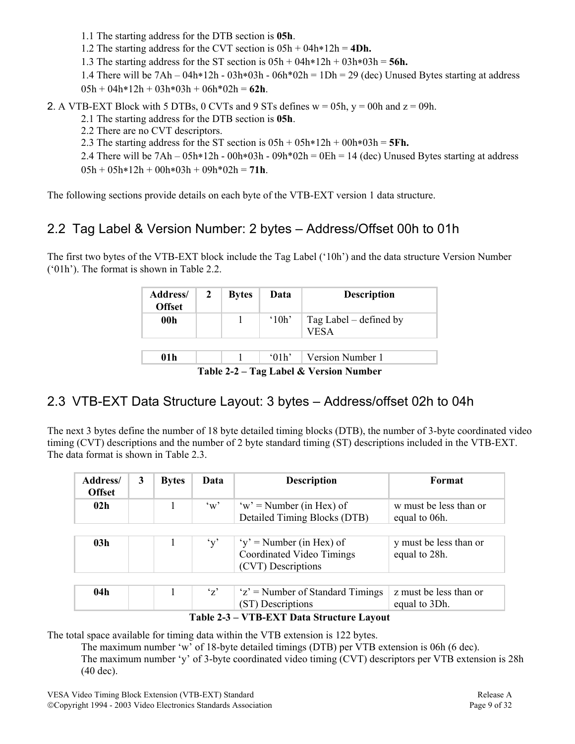1.1 The starting address for the DTB section is **05h**.

- 1.2 The starting address for the CVT section is 05h + 04h\*12h = **4Dh.**
- 1.3 The starting address for the ST section is  $0.5h + 0.4h * 12h + 0.3h * 0.3h = 56h$ .

1.4 There will be  $7Ah - 04h * 12h - 03h * 03h - 06h * 02h = 1 Dh = 29$  (dec) Unused Bytes starting at address  $05h + 04h * 12h + 03h * 03h + 06h * 02h = 62h$ .

2. A VTB-EXT Block with 5 DTBs, 0 CVTs and 9 STs defines  $w = 0.05$ ,  $y = 0.00$  and  $z = 0.09$ h.

2.1 The starting address for the DTB section is **05h**.

2.2 There are no CVT descriptors.

2.3 The starting address for the ST section is  $05h + 05h * 12h + 00h * 03h = 5Fh$ .

2.4 There will be  $7Ah - 05h * 12h - 00h * 03h - 09h * 02h = 0Eh = 14$  (dec) Unused Bytes starting at address  $05h + 05h * 12h + 00h * 03h + 09h * 02h = 71h$ .

The following sections provide details on each byte of the VTB-EXT version 1 data structure.

## 2.2 Tag Label & Version Number: 2 bytes – Address/Offset 00h to 01h

The first two bytes of the VTB-EXT block include the Tag Label ('10h') and the data structure Version Number ('01h'). The format is shown in Table 2.2.

| Address/<br><b>Offset</b>              | 2 | <b>Bytes</b> | Data                        | <b>Description</b>             |  |
|----------------------------------------|---|--------------|-----------------------------|--------------------------------|--|
| 00h                                    |   |              | $^{\circ}10h$               | Tag Label – defined by<br>VESA |  |
|                                        |   |              |                             |                                |  |
| 01 <sub>h</sub>                        |   |              | $^{\circ}$ 01h <sup>2</sup> | Version Number 1               |  |
| Table 2-2 – Tag Label & Version Number |   |              |                             |                                |  |

#### 2.3 VTB-EXT Data Structure Layout: 3 bytes – Address/offset 02h to 04h

The next 3 bytes define the number of 18 byte detailed timing blocks (DTB), the number of 3-byte coordinated video timing (CVT) descriptions and the number of 2 byte standard timing (ST) descriptions included in the VTB-EXT. The data format is shown in Table 2.3.

| Address/<br><b>Offset</b>                                                       | 3 | <b>Bytes</b> | Data                                                        | <b>Description</b>                                                           | Format                                  |
|---------------------------------------------------------------------------------|---|--------------|-------------------------------------------------------------|------------------------------------------------------------------------------|-----------------------------------------|
| 02h                                                                             |   |              | $\gamma_{\rm W}$                                            | $w' =$ Number (in Hex) of<br>Detailed Timing Blocks (DTB)                    | w must be less than or<br>equal to 06h. |
| 03h                                                                             |   |              | $\mathbf{y}$                                                | $y' =$ Number (in Hex) of<br>Coordinated Video Timings<br>(CVT) Descriptions | y must be less than or<br>equal to 28h. |
| $\mathbf{z}'$<br>04h                                                            |   |              | z must be less than or<br>$z' =$ Number of Standard Timings |                                                                              |                                         |
| (ST) Descriptions<br>equal to 3Dh.<br>Table 2-3 – VTB-EXT Data Structure Layout |   |              |                                                             |                                                                              |                                         |

The total space available for timing data within the VTB extension is 122 bytes.

The maximum number 'w' of 18-byte detailed timings (DTB) per VTB extension is 06h (6 dec).

The maximum number 'y' of 3-byte coordinated video timing (CVT) descriptors per VTB extension is 28h (40 dec).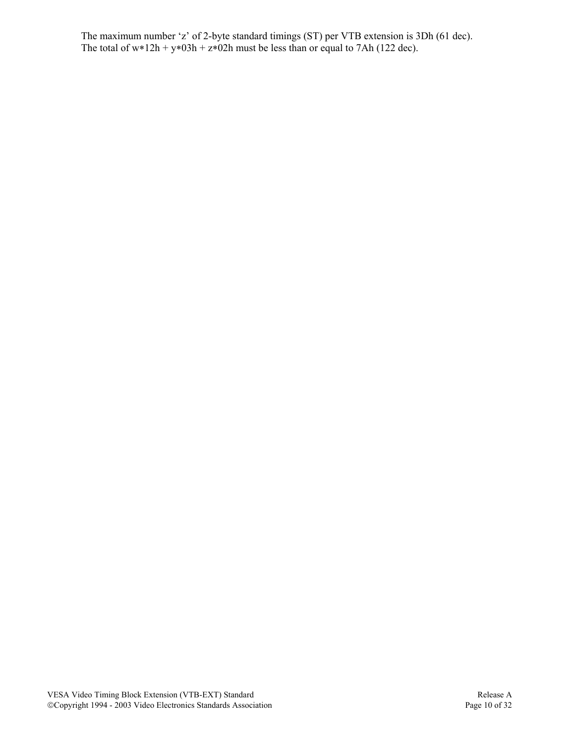The maximum number 'z' of 2-byte standard timings (ST) per VTB extension is 3Dh (61 dec). The total of  $w*12h + y*03h + z*02h$  must be less than or equal to 7Ah (122 dec).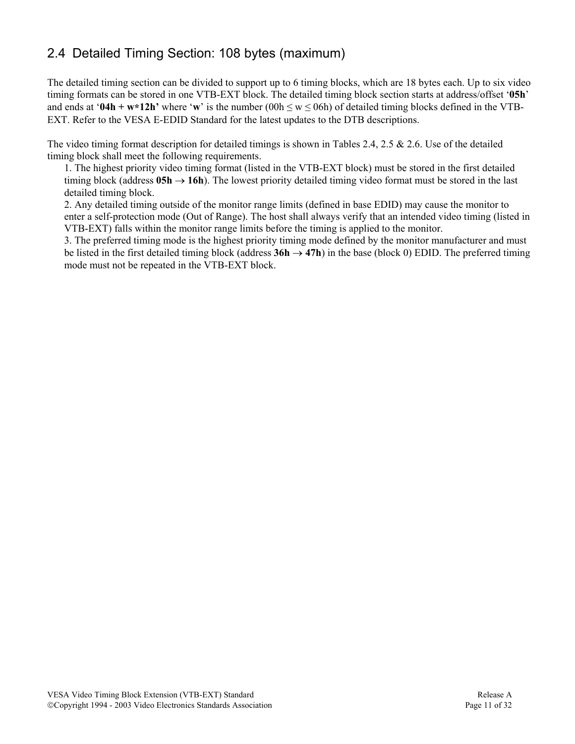## 2.4 Detailed Timing Section: 108 bytes (maximum)

The detailed timing section can be divided to support up to 6 timing blocks, which are 18 bytes each. Up to six video timing formats can be stored in one VTB-EXT block. The detailed timing block section starts at address/offset '**05h**' and ends at '**04h** +  $w*12h'$  where 'w' is the number (00h  $\leq w \leq$  06h) of detailed timing blocks defined in the VTB-EXT. Refer to the VESA E-EDID Standard for the latest updates to the DTB descriptions.

The video timing format description for detailed timings is shown in Tables 2.4, 2.5 & 2.6. Use of the detailed timing block shall meet the following requirements.

1. The highest priority video timing format (listed in the VTB-EXT block) must be stored in the first detailed timing block (address  $0.5h \rightarrow 16h$ ). The lowest priority detailed timing video format must be stored in the last detailed timing block.

2. Any detailed timing outside of the monitor range limits (defined in base EDID) may cause the monitor to enter a self-protection mode (Out of Range). The host shall always verify that an intended video timing (listed in VTB-EXT) falls within the monitor range limits before the timing is applied to the monitor.

3. The preferred timing mode is the highest priority timing mode defined by the monitor manufacturer and must be listed in the first detailed timing block (address  $36h \rightarrow 47h$ ) in the base (block 0) EDID. The preferred timing mode must not be repeated in the VTB-EXT block.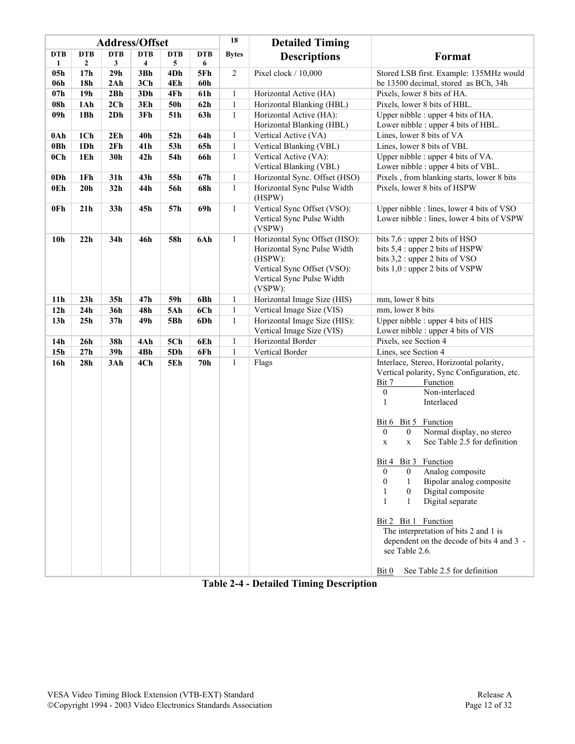|                 | <b>Address/Offset</b>  |                 | 18                     | <b>Detailed Timing</b> |            |                |                                                                                                                                                |                                                                                                                                                                                                                                                                                                                                                                                                                                                                                                                                                                                                                                                                                                                                            |
|-----------------|------------------------|-----------------|------------------------|------------------------|------------|----------------|------------------------------------------------------------------------------------------------------------------------------------------------|--------------------------------------------------------------------------------------------------------------------------------------------------------------------------------------------------------------------------------------------------------------------------------------------------------------------------------------------------------------------------------------------------------------------------------------------------------------------------------------------------------------------------------------------------------------------------------------------------------------------------------------------------------------------------------------------------------------------------------------------|
| <b>DTB</b>      | <b>DTB</b>             | <b>DTB</b>      | <b>DTB</b>             | <b>DTB</b>             | <b>DTB</b> | <b>Bytes</b>   | <b>Descriptions</b>                                                                                                                            | Format                                                                                                                                                                                                                                                                                                                                                                                                                                                                                                                                                                                                                                                                                                                                     |
| 1               | $\mathbf{2}$           | 3               | 4                      | 5                      | 6          |                | Pixel clock / 10,000                                                                                                                           |                                                                                                                                                                                                                                                                                                                                                                                                                                                                                                                                                                                                                                                                                                                                            |
| 05h<br>06h      | 17 <sub>h</sub><br>18h | 29h<br>2Ah      | 3Bh<br>3 <sub>ch</sub> | 4Dh<br>4Eh             | 5Fh<br>60h | $\overline{c}$ |                                                                                                                                                | Stored LSB first. Example: 135MHz would<br>be 13500 decimal, stored as BCh, 34h                                                                                                                                                                                                                                                                                                                                                                                                                                                                                                                                                                                                                                                            |
| 07h             | 19 <sub>h</sub>        | 2Bh             | 3Dh                    | 4Fh                    | 61h        | 1              | Horizontal Active (HA)                                                                                                                         | Pixels, lower 8 bits of HA.                                                                                                                                                                                                                                                                                                                                                                                                                                                                                                                                                                                                                                                                                                                |
| 08h             | 1Ah                    | 2Ch             | 3Eh                    | 50h                    | 62h        | $\mathbf{1}$   | Horizontal Blanking (HBL)                                                                                                                      | Pixels, lower 8 bits of HBL.                                                                                                                                                                                                                                                                                                                                                                                                                                                                                                                                                                                                                                                                                                               |
| 09h             | 1Bh                    | 2D <sub>h</sub> | 3Fh                    | 51h                    | 63h        | $\mathbf{1}$   | Horizontal Active (HA):                                                                                                                        | Upper nibble : upper 4 bits of HA.                                                                                                                                                                                                                                                                                                                                                                                                                                                                                                                                                                                                                                                                                                         |
|                 |                        |                 |                        |                        |            |                | Horizontal Blanking (HBL)                                                                                                                      | Lower nibble : upper 4 bits of HBL.                                                                                                                                                                                                                                                                                                                                                                                                                                                                                                                                                                                                                                                                                                        |
| 0Ah             | 1Ch                    | 2E <sub>h</sub> | 40h                    | 52h                    | 64h        | $\mathbf{1}$   | Vertical Active (VA)                                                                                                                           | Lines, lower 8 bits of VA                                                                                                                                                                                                                                                                                                                                                                                                                                                                                                                                                                                                                                                                                                                  |
| 0Bh             | 1Dh                    | 2Fh             | 41h                    | 53h                    | 65h        | $\mathbf{1}$   | Vertical Blanking (VBL)                                                                                                                        | Lines, lower 8 bits of VBL                                                                                                                                                                                                                                                                                                                                                                                                                                                                                                                                                                                                                                                                                                                 |
| 0 <sub>ch</sub> | 1Eh                    | 30h             | 42h                    | 54h                    | 66h        | $\mathbf{1}$   | Vertical Active (VA):                                                                                                                          | Upper nibble : upper 4 bits of VA.                                                                                                                                                                                                                                                                                                                                                                                                                                                                                                                                                                                                                                                                                                         |
|                 |                        |                 |                        |                        |            |                | Vertical Blanking (VBL)                                                                                                                        | Lower nibble : upper 4 bits of VBL.                                                                                                                                                                                                                                                                                                                                                                                                                                                                                                                                                                                                                                                                                                        |
| 0D <sub>h</sub> | 1Fh                    | 31h             | 43h                    | 55h                    | 67h        | $\mathbf{1}$   | Horizontal Sync. Offset (HSO)                                                                                                                  | Pixels, from blanking starts, lower 8 bits                                                                                                                                                                                                                                                                                                                                                                                                                                                                                                                                                                                                                                                                                                 |
| 0Eh             | 20 <sub>h</sub>        | 32h             | 44h                    | 56h                    | 68h        | $\mathbf{1}$   | Horizontal Sync Pulse Width<br>(HSPW)                                                                                                          | Pixels, lower 8 bits of HSPW                                                                                                                                                                                                                                                                                                                                                                                                                                                                                                                                                                                                                                                                                                               |
| 0Fh             | 21 <sub>h</sub>        | 33h             | 45h                    | 57h                    | 69h        | 1              | Vertical Sync Offset (VSO):                                                                                                                    | Upper nibble : lines, lower 4 bits of VSO                                                                                                                                                                                                                                                                                                                                                                                                                                                                                                                                                                                                                                                                                                  |
|                 |                        |                 |                        |                        |            |                | Vertical Sync Pulse Width<br>(VSPW)                                                                                                            | Lower nibble : lines, lower 4 bits of VSPW                                                                                                                                                                                                                                                                                                                                                                                                                                                                                                                                                                                                                                                                                                 |
| 10 <sub>h</sub> | 22h                    | 34h             | 46h                    | 58h                    | 6Ah        | $\mathbf{1}$   | Horizontal Sync Offset (HSO):<br>Horizontal Sync Pulse Width<br>(HSPW):<br>Vertical Sync Offset (VSO):<br>Vertical Sync Pulse Width<br>(VSPW): | bits 7,6 : upper 2 bits of HSO<br>bits 5,4 : upper 2 bits of HSPW<br>bits 3,2 : upper 2 bits of VSO<br>bits 1,0 : upper 2 bits of VSPW                                                                                                                                                                                                                                                                                                                                                                                                                                                                                                                                                                                                     |
| 11 <sub>h</sub> | 23h                    | 35h             | 47h                    | 59h                    | 6Bh        | 1              | Horizontal Image Size (HIS)                                                                                                                    | mm, lower 8 bits                                                                                                                                                                                                                                                                                                                                                                                                                                                                                                                                                                                                                                                                                                                           |
| 12 <sub>h</sub> | 24h                    | 36h             | 48h                    | 5Ah                    | 6Ch        | $\mathbf{1}$   | Vertical Image Size (VIS)                                                                                                                      | mm, lower 8 bits                                                                                                                                                                                                                                                                                                                                                                                                                                                                                                                                                                                                                                                                                                                           |
| 13h             | 25h                    | 37h             | 49h                    | 5Bh                    | 6Dh        | $\mathbf{1}$   | Horizontal Image Size (HIS):<br>Vertical Image Size (VIS)                                                                                      | Upper nibble : upper 4 bits of HIS<br>Lower nibble : upper 4 bits of VIS                                                                                                                                                                                                                                                                                                                                                                                                                                                                                                                                                                                                                                                                   |
| 14 <sub>h</sub> | 26h                    | 38h             | 4Ah                    | 5Ch                    | 6Eh        | $\mathbf{1}$   | Horizontal Border                                                                                                                              | Pixels, see Section 4                                                                                                                                                                                                                                                                                                                                                                                                                                                                                                                                                                                                                                                                                                                      |
| 15 <sub>h</sub> | 27h                    | 39h             | 4Bh                    | 5Dh                    | 6Fh        | $\mathbf{1}$   | Vertical Border                                                                                                                                | Lines, see Section 4                                                                                                                                                                                                                                                                                                                                                                                                                                                                                                                                                                                                                                                                                                                       |
| 16h             | 28h                    | 3Ah             | 4Ch                    | 5Eh                    | 70h        | $\mathbf{1}$   | Flags                                                                                                                                          | Interlace, Stereo, Horizontal polarity,<br>Vertical polarity, Sync Configuration, etc.<br>Function<br>Bit 7<br>$\boldsymbol{0}$<br>Non-interlaced<br>1<br>Interlaced<br>Function<br>Bit 6<br>Bit 5<br>Normal display, no stereo<br>$\mathbf{0}$<br>$\mathbf{0}$<br>See Table 2.5 for definition<br>$\mathbf X$<br>$\mathbf X$<br>Bit 4 Bit 3 Function<br>Analog composite<br>$\mathbf{0}$<br>$\overline{0}$<br>Bipolar analog composite<br>$\boldsymbol{0}$<br>-1<br>Digital composite<br>1<br>$\overline{0}$<br>$\mathbf{1}$<br>Digital separate<br>$\mathbf{1}$<br>Bit 2 Bit 1 Function<br>The interpretation of bits 2 and 1 is<br>dependent on the decode of bits 4 and 3 -<br>see Table 2.6.<br>See Table 2.5 for definition<br>Bit 0 |

**Table 2-4 - Detailed Timing Description**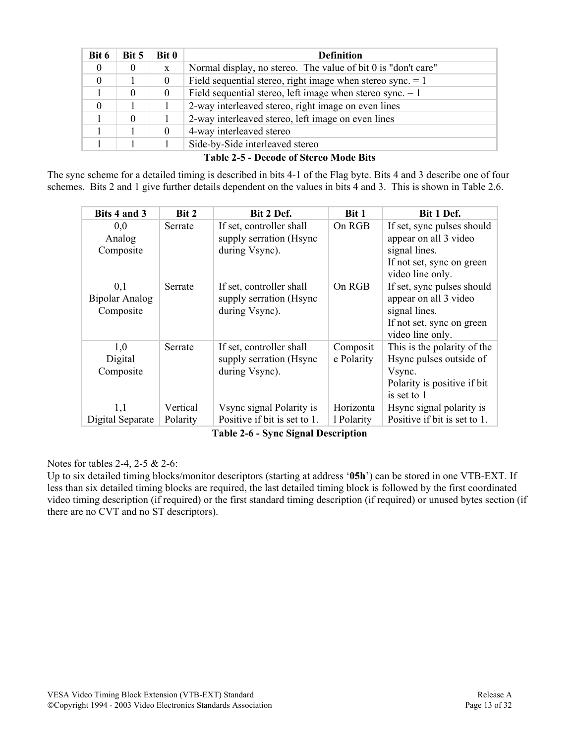| Bit 6            | Bit 5    | <b>Bit 0</b> | <b>Definition</b>                                             |  |  |  |  |
|------------------|----------|--------------|---------------------------------------------------------------|--|--|--|--|
| $\boldsymbol{0}$ | $\theta$ | X            | Normal display, no stereo. The value of bit 0 is "don't care" |  |  |  |  |
| $\theta$         |          | $\theta$     | Field sequential stereo, right image when stereo sync. $= 1$  |  |  |  |  |
|                  | $\theta$ | $\theta$     | Field sequential stereo, left image when stereo sync. $= 1$   |  |  |  |  |
|                  |          |              | 2-way interleaved stereo, right image on even lines           |  |  |  |  |
|                  | $\Omega$ |              | 2-way interleaved stereo, left image on even lines            |  |  |  |  |
|                  |          | $\theta$     | 4-way interleaved stereo                                      |  |  |  |  |
|                  |          |              | Side-by-Side interleaved stereo                               |  |  |  |  |

The sync scheme for a detailed timing is described in bits 4-1 of the Flag byte. Bits 4 and 3 describe one of four schemes. Bits 2 and 1 give further details dependent on the values in bits 4 and 3. This is shown in Table 2.6.

| Bits 4 and 3                              | Bit 2    | Bit 2 Def.                                                            | Bit 1                  | Bit 1 Def.                                                                                                            |
|-------------------------------------------|----------|-----------------------------------------------------------------------|------------------------|-----------------------------------------------------------------------------------------------------------------------|
| 0,0<br>Analog<br>Composite                | Serrate  | If set, controller shall<br>supply serration (Hsync<br>during Vsync). | On RGB                 | If set, sync pulses should<br>appear on all 3 video<br>signal lines.<br>If not set, sync on green<br>video line only. |
| 0,1<br><b>Bipolar Analog</b><br>Composite | Serrate  | If set, controller shall<br>supply serration (Hsync<br>during Vsync). | On RGB                 | If set, sync pulses should<br>appear on all 3 video<br>signal lines.<br>If not set, sync on green<br>video line only. |
| 1,0<br>Digital<br>Composite               | Serrate  | If set, controller shall<br>supply serration (Hsync<br>during Vsync). | Composit<br>e Polarity | This is the polarity of the<br>Hsync pulses outside of<br>Vsync.<br>Polarity is positive if bit<br>is set to 1        |
| 1,1                                       | Vertical | Vsync signal Polarity is                                              | Horizonta              | Hsync signal polarity is                                                                                              |
| Digital Separate                          | Polarity | Positive if bit is set to 1.                                          | 1 Polarity             | Positive if bit is set to 1.                                                                                          |

**Table 2-6 - Sync Signal Description** 

Notes for tables 2-4, 2-5 & 2-6:

Up to six detailed timing blocks/monitor descriptors (starting at address '**05h**') can be stored in one VTB-EXT. If less than six detailed timing blocks are required, the last detailed timing block is followed by the first coordinated video timing description (if required) or the first standard timing description (if required) or unused bytes section (if there are no CVT and no ST descriptors).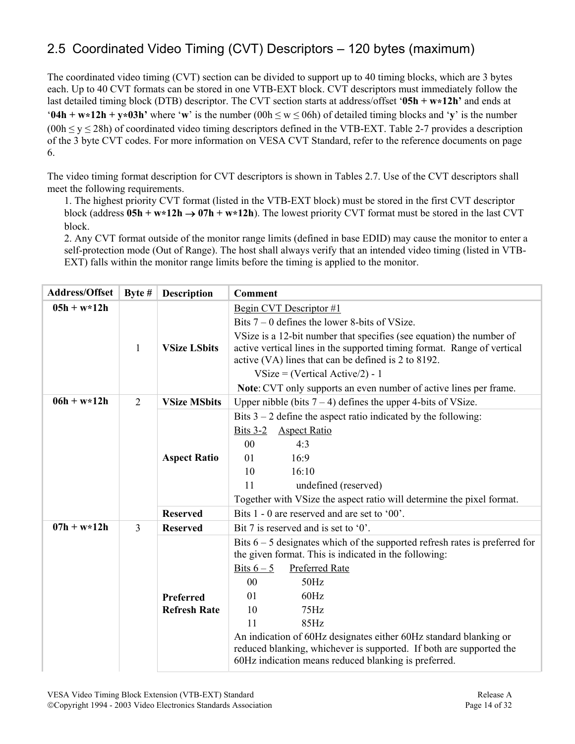## 2.5 Coordinated Video Timing (CVT) Descriptors – 120 bytes (maximum)

The coordinated video timing (CVT) section can be divided to support up to 40 timing blocks, which are 3 bytes each. Up to 40 CVT formats can be stored in one VTB-EXT block. CVT descriptors must immediately follow the last detailed timing block (DTB) descriptor. The CVT section starts at address/offset '**05h + w\*12h'** and ends at '**04h + w\*12h + y\*03h'** where '**w**' is the number (00h ≤ w ≤ 06h) of detailed timing blocks and '**y**' is the number  $(00h \le y \le 28h)$  of coordinated video timing descriptors defined in the VTB-EXT. Table 2-7 provides a description of the 3 byte CVT codes. For more information on VESA CVT Standard, refer to the reference documents on page 6.

The video timing format description for CVT descriptors is shown in Tables 2.7. Use of the CVT descriptors shall meet the following requirements.

1. The highest priority CVT format (listed in the VTB-EXT block) must be stored in the first CVT descriptor block (address  $05h + w*12h \rightarrow 07h + w*12h$ ). The lowest priority CVT format must be stored in the last CVT block.

2. Any CVT format outside of the monitor range limits (defined in base EDID) may cause the monitor to enter a self-protection mode (Out of Range). The host shall always verify that an intended video timing (listed in VTB-EXT) falls within the monitor range limits before the timing is applied to the monitor.

| <b>Address/Offset</b> | Byte $#$       | <b>Description</b>               | <b>Comment</b>                                                                                                                                                                                                                                                                                                                                                                                                                     |
|-----------------------|----------------|----------------------------------|------------------------------------------------------------------------------------------------------------------------------------------------------------------------------------------------------------------------------------------------------------------------------------------------------------------------------------------------------------------------------------------------------------------------------------|
| $05h + w*12h$         | 1              | <b>VSize LSbits</b>              | Begin CVT Descriptor #1<br>Bits $7 - 0$ defines the lower 8-bits of VSize.<br>VSize is a 12-bit number that specifies (see equation) the number of<br>active vertical lines in the supported timing format. Range of vertical<br>active (VA) lines that can be defined is 2 to 8192.<br>$VSize = (Vertical Active/2) - 1$<br>Note: CVT only supports an even number of active lines per frame.                                     |
| $06h + w*12h$         | $\overline{2}$ | <b>VSize MSbits</b>              | Upper nibble (bits $7 - 4$ ) defines the upper 4-bits of VSize.                                                                                                                                                                                                                                                                                                                                                                    |
|                       |                | <b>Aspect Ratio</b>              | Bits $3 - 2$ define the aspect ratio indicated by the following:<br>Bits 3-2 Aspect Ratio<br>0 <sub>0</sub><br>4:3<br>16:9<br>01<br>16:10<br>10<br>11<br>undefined (reserved)<br>Together with VSize the aspect ratio will determine the pixel format.                                                                                                                                                                             |
|                       |                | <b>Reserved</b>                  | Bits $1 - 0$ are reserved and are set to '00'.                                                                                                                                                                                                                                                                                                                                                                                     |
| $07h + w*12h$         | 3              | <b>Reserved</b>                  | Bit 7 is reserved and is set to '0'.                                                                                                                                                                                                                                                                                                                                                                                               |
|                       |                | Preferred<br><b>Refresh Rate</b> | Bits $6 - 5$ designates which of the supported refresh rates is preferred for<br>the given format. This is indicated in the following:<br>Bits $6-5$<br>Preferred Rate<br>00<br>50Hz<br>60Hz<br>01<br>75Hz<br>10<br>85Hz<br>11<br>An indication of 60Hz designates either 60Hz standard blanking or<br>reduced blanking, whichever is supported. If both are supported the<br>60Hz indication means reduced blanking is preferred. |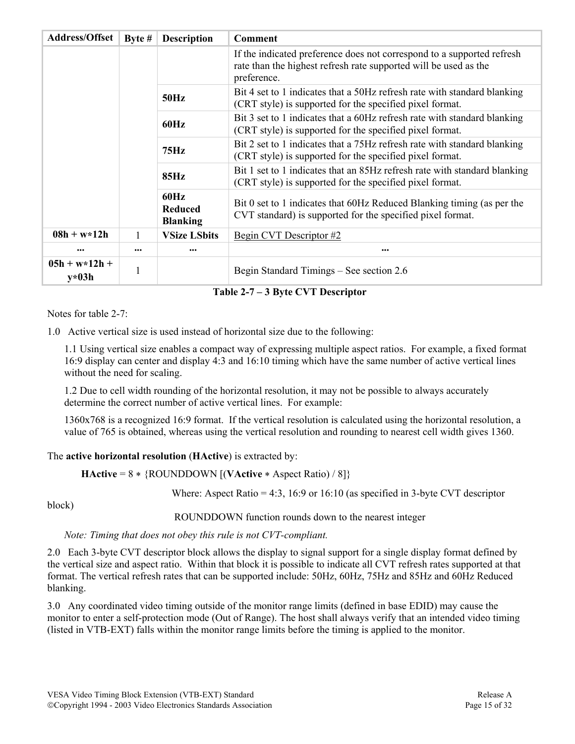| <b>Address/Offset</b>      | Byte $#$ | <b>Description</b>                        | <b>Comment</b>                                                                                                                                            |
|----------------------------|----------|-------------------------------------------|-----------------------------------------------------------------------------------------------------------------------------------------------------------|
|                            |          |                                           | If the indicated preference does not correspond to a supported refresh<br>rate than the highest refresh rate supported will be used as the<br>preference. |
| <b>50Hz</b><br>60Hz        |          |                                           | Bit 4 set to 1 indicates that a 50Hz refresh rate with standard blanking<br>(CRT style) is supported for the specified pixel format.                      |
|                            |          |                                           | Bit 3 set to 1 indicates that a 60Hz refresh rate with standard blanking<br>(CRT style) is supported for the specified pixel format.                      |
|                            |          | 75Hz                                      | Bit 2 set to 1 indicates that a 75Hz refresh rate with standard blanking<br>(CRT style) is supported for the specified pixel format.                      |
|                            |          | 85Hz                                      | Bit 1 set to 1 indicates that an 85Hz refresh rate with standard blanking<br>(CRT style) is supported for the specified pixel format.                     |
|                            |          | 60Hz<br><b>Reduced</b><br><b>Blanking</b> | Bit 0 set to 1 indicates that 60Hz Reduced Blanking timing (as per the<br>CVT standard) is supported for the specified pixel format.                      |
| $08h + w*12h$              | 1        | <b>VSize LSbits</b>                       | Begin CVT Descriptor #2                                                                                                                                   |
| $\cdots$                   | $\cdots$ | $\cdots$                                  | $\cdots$                                                                                                                                                  |
| $05h + w*12h +$<br>$y*03h$ |          |                                           | Begin Standard Timings – See section 2.6                                                                                                                  |

**Table 2-7 – 3 Byte CVT Descriptor**

Notes for table 2-7:

1.0 Active vertical size is used instead of horizontal size due to the following:

1.1 Using vertical size enables a compact way of expressing multiple aspect ratios. For example, a fixed format 16:9 display can center and display 4:3 and 16:10 timing which have the same number of active vertical lines without the need for scaling.

1.2 Due to cell width rounding of the horizontal resolution, it may not be possible to always accurately determine the correct number of active vertical lines. For example:

1360x768 is a recognized 16:9 format. If the vertical resolution is calculated using the horizontal resolution, a value of 765 is obtained, whereas using the vertical resolution and rounding to nearest cell width gives 1360.

#### The **active horizontal resolution** (**HActive**) is extracted by:

**HActive** = 8 \* {ROUNDDOWN [(**VActive** \* Aspect Ratio) / 8]}

block)

Where: Aspect Ratio = 4:3, 16:9 or 16:10 (as specified in 3-byte CVT descriptor

ROUNDDOWN function rounds down to the nearest integer

*Note: Timing that does not obey this rule is not CVT-compliant.* 

2.0 Each 3-byte CVT descriptor block allows the display to signal support for a single display format defined by the vertical size and aspect ratio. Within that block it is possible to indicate all CVT refresh rates supported at that format. The vertical refresh rates that can be supported include: 50Hz, 60Hz, 75Hz and 85Hz and 60Hz Reduced blanking.

3.0 Any coordinated video timing outside of the monitor range limits (defined in base EDID) may cause the monitor to enter a self-protection mode (Out of Range). The host shall always verify that an intended video timing (listed in VTB-EXT) falls within the monitor range limits before the timing is applied to the monitor.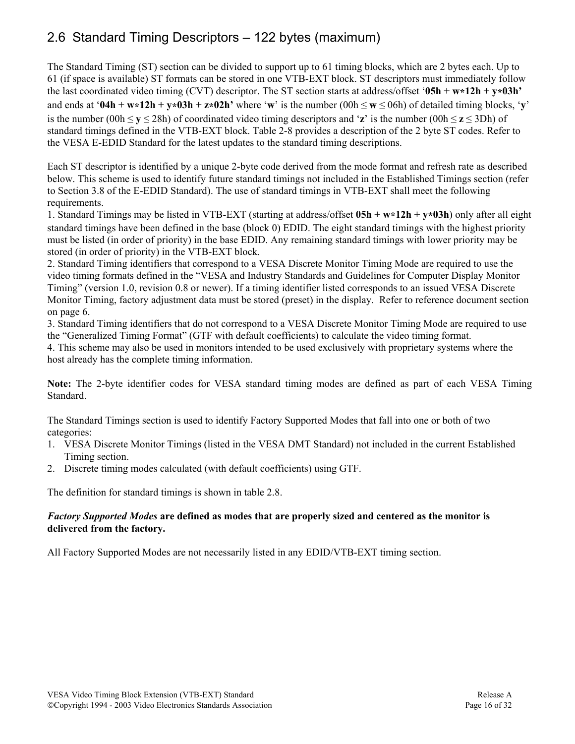## 2.6 Standard Timing Descriptors – 122 bytes (maximum)

The Standard Timing (ST) section can be divided to support up to 61 timing blocks, which are 2 bytes each. Up to 61 (if space is available) ST formats can be stored in one VTB-EXT block. ST descriptors must immediately follow the last coordinated video timing (CVT) descriptor. The ST section starts at address/offset '**05h + w\*12h + y\*03h'** and ends at '04h +  $w*12h + v*03h + z*02h'$  where 'w' is the number (00h  $\leq w \leq$  06h) of detailed timing blocks, 'v' is the number (00h  $\leq$  **y**  $\leq$  28h) of coordinated video timing descriptors and '**z**' is the number (00h  $\leq$  **z**  $\leq$  3Dh) of standard timings defined in the VTB-EXT block. Table 2-8 provides a description of the 2 byte ST codes. Refer to the VESA E-EDID Standard for the latest updates to the standard timing descriptions.

Each ST descriptor is identified by a unique 2-byte code derived from the mode format and refresh rate as described below. This scheme is used to identify future standard timings not included in the Established Timings section (refer to Section 3.8 of the E-EDID Standard). The use of standard timings in VTB-EXT shall meet the following requirements.

1. Standard Timings may be listed in VTB-EXT (starting at address/offset **05h + w\*12h + y\*03h**) only after all eight standard timings have been defined in the base (block 0) EDID. The eight standard timings with the highest priority must be listed (in order of priority) in the base EDID. Any remaining standard timings with lower priority may be stored (in order of priority) in the VTB-EXT block.

2. Standard Timing identifiers that correspond to a VESA Discrete Monitor Timing Mode are required to use the video timing formats defined in the "VESA and Industry Standards and Guidelines for Computer Display Monitor Timing" (version 1.0, revision 0.8 or newer). If a timing identifier listed corresponds to an issued VESA Discrete Monitor Timing, factory adjustment data must be stored (preset) in the display. Refer to reference document section on page 6.

3. Standard Timing identifiers that do not correspond to a VESA Discrete Monitor Timing Mode are required to use the "Generalized Timing Format" (GTF with default coefficients) to calculate the video timing format. 4. This scheme may also be used in monitors intended to be used exclusively with proprietary systems where the

host already has the complete timing information.

**Note:** The 2-byte identifier codes for VESA standard timing modes are defined as part of each VESA Timing Standard.

The Standard Timings section is used to identify Factory Supported Modes that fall into one or both of two categories:

- 1. VESA Discrete Monitor Timings (listed in the VESA DMT Standard) not included in the current Established Timing section.
- 2. Discrete timing modes calculated (with default coefficients) using GTF.

The definition for standard timings is shown in table 2.8.

#### *Factory Supported Modes* **are defined as modes that are properly sized and centered as the monitor is delivered from the factory.**

All Factory Supported Modes are not necessarily listed in any EDID/VTB-EXT timing section.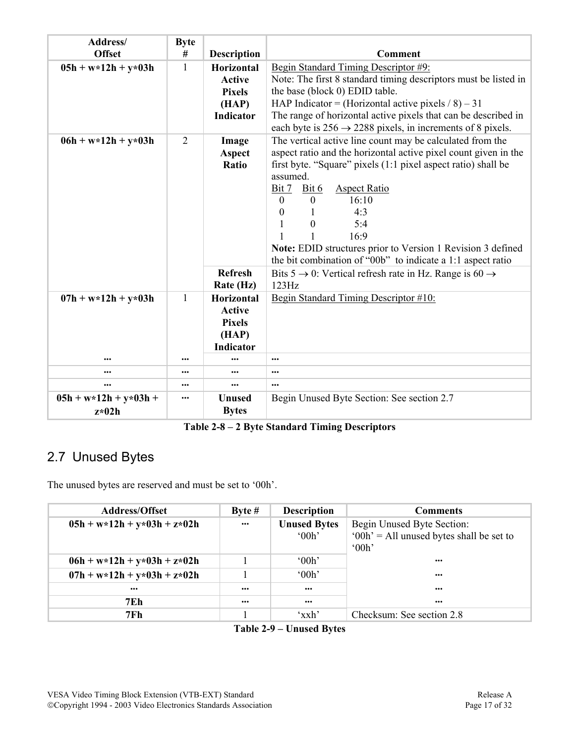| Address/<br><b>Offset</b>          | <b>Byte</b>    |                               |                                                                                 |
|------------------------------------|----------------|-------------------------------|---------------------------------------------------------------------------------|
|                                    | #              | <b>Description</b>            | <b>Comment</b>                                                                  |
| $05h + w*12h + y*03h$              | 1              | Horizontal                    | Begin Standard Timing Descriptor #9:                                            |
|                                    |                | <b>Active</b>                 | Note: The first 8 standard timing descriptors must be listed in                 |
|                                    |                | <b>Pixels</b>                 | the base (block 0) EDID table.                                                  |
|                                    |                | (HAP)                         | HAP Indicator = (Horizontal active pixels $/ 8$ ) – 31                          |
|                                    |                | <b>Indicator</b>              | The range of horizontal active pixels that can be described in                  |
|                                    |                |                               | each byte is $256 \rightarrow 2288$ pixels, in increments of 8 pixels.          |
| $06h + w*12h + y*03h$              | $\overline{2}$ | Image                         | The vertical active line count may be calculated from the                       |
|                                    |                | <b>Aspect</b>                 | aspect ratio and the horizontal active pixel count given in the                 |
|                                    |                | Ratio                         | first byte. "Square" pixels (1:1 pixel aspect ratio) shall be                   |
|                                    |                |                               | assumed.                                                                        |
|                                    |                |                               | Bit 7<br>Bit 6<br><b>Aspect Ratio</b>                                           |
|                                    |                |                               | 16:10<br>$\overline{0}$<br>$\Omega$                                             |
|                                    |                |                               | 4:3<br>$\boldsymbol{0}$                                                         |
|                                    |                |                               | $\theta$<br>5:4                                                                 |
|                                    |                |                               | 16:9                                                                            |
|                                    |                |                               | Note: EDID structures prior to Version 1 Revision 3 defined                     |
|                                    |                |                               | the bit combination of "00b" to indicate a 1:1 aspect ratio                     |
|                                    |                | <b>Refresh</b>                | Bits $5 \rightarrow 0$ : Vertical refresh rate in Hz. Range is $60 \rightarrow$ |
|                                    |                | Rate (Hz)                     | 123Hz                                                                           |
| $07h + w*12h + y*03h$              | $\mathbf{1}$   | Horizontal                    | Begin Standard Timing Descriptor #10:                                           |
|                                    |                | <b>Active</b>                 |                                                                                 |
|                                    |                | <b>Pixels</b>                 |                                                                                 |
|                                    |                | (HAP)                         |                                                                                 |
|                                    |                | <b>Indicator</b>              |                                                                                 |
|                                    |                |                               | $\ddotsc$                                                                       |
|                                    |                | $\cdots$                      | $\cdots$                                                                        |
| $\cdots$                           |                | $\cdots$                      | $\cdots$                                                                        |
| $05h + w*12h + y*03h +$<br>$z*02h$ |                | <b>Unused</b><br><b>Bytes</b> | Begin Unused Byte Section: See section 2.7                                      |

**Table 2-8 – 2 Byte Standard Timing Descriptors**

# 2.7 Unused Bytes

The unused bytes are reserved and must be set to '00h'.

| <b>Address/Offset</b>         | Byte $#$ | <b>Description</b>                   | <b>Comments</b>                                                                           |
|-------------------------------|----------|--------------------------------------|-------------------------------------------------------------------------------------------|
| $05h + w*12h + y*03h + z*02h$ | $\cdots$ | <b>Unused Bytes</b><br>$^{\circ}00h$ | Begin Unused Byte Section:<br>$'00h' = All$ unused bytes shall be set to<br>$^{\circ}00h$ |
| $06h + w*12h + y*03h + z*02h$ |          | $^{\circ}00h$                        | $\cdots$                                                                                  |
| $07h + w*12h + y*03h + z*02h$ |          | $^{\circ}00h$                        | $\cdots$                                                                                  |
| $\cdots$                      | $\cdots$ | $\cdots$                             | $\cdots$                                                                                  |
| <b>7Eh</b>                    | $\cdots$ | $\cdots$                             | $\cdots$                                                                                  |
| 7Fh                           |          | 'xxh'                                | Checksum: See section 2.8                                                                 |

**Table 2-9 – Unused Bytes**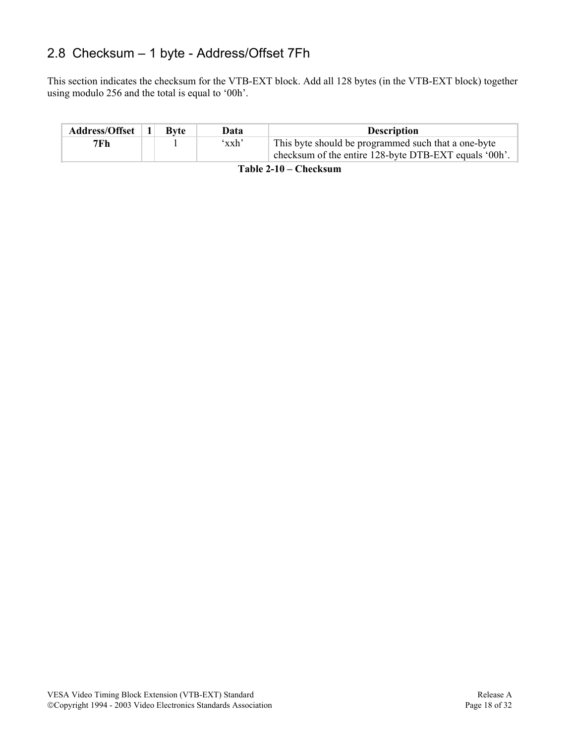## 2.8 Checksum – 1 byte - Address/Offset 7Fh

This section indicates the checksum for the VTB-EXT block. Add all 128 bytes (in the VTB-EXT block) together using modulo 256 and the total is equal to '00h'.

| <b>Address/Offset</b> | <b>Byte</b> | Data  | <b>Description</b>                                    |
|-----------------------|-------------|-------|-------------------------------------------------------|
| 7Fh                   |             | 'xxh' | This byte should be programmed such that a one-byte   |
|                       |             |       | checksum of the entire 128-byte DTB-EXT equals '00h'. |

**Table 2-10 – Checksum**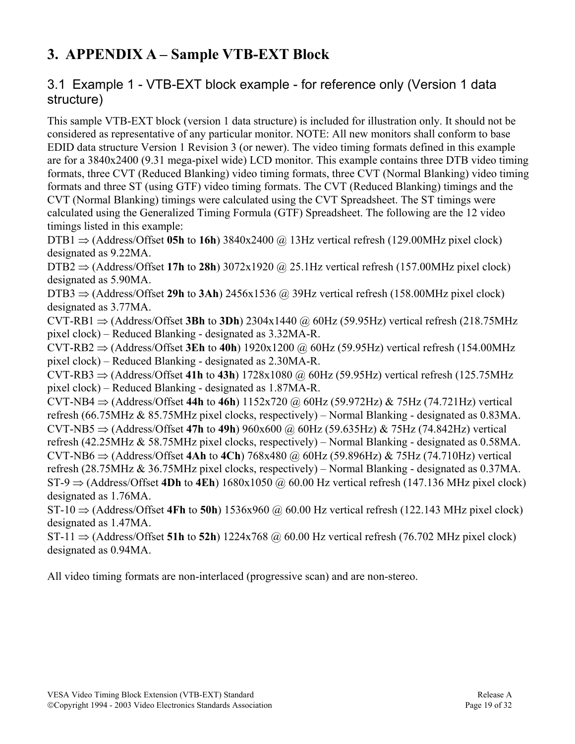# **3. APPENDIX A – Sample VTB-EXT Block**

#### 3.1 Example 1 - VTB-EXT block example - for reference only (Version 1 data structure)

This sample VTB-EXT block (version 1 data structure) is included for illustration only. It should not be considered as representative of any particular monitor. NOTE: All new monitors shall conform to base EDID data structure Version 1 Revision 3 (or newer). The video timing formats defined in this example are for a 3840x2400 (9.31 mega-pixel wide) LCD monitor. This example contains three DTB video timing formats, three CVT (Reduced Blanking) video timing formats, three CVT (Normal Blanking) video timing formats and three ST (using GTF) video timing formats. The CVT (Reduced Blanking) timings and the CVT (Normal Blanking) timings were calculated using the CVT Spreadsheet. The ST timings were calculated using the Generalized Timing Formula (GTF) Spreadsheet. The following are the 12 video timings listed in this example:

DTB1 ⇒ (Address/Offset **05h** to **16h**) 3840x2400 @ 13Hz vertical refresh (129.00MHz pixel clock) designated as 9.22MA.

DTB2 ⇒ (Address/Offset **17h** to **28h**) 3072x1920 @ 25.1Hz vertical refresh (157.00MHz pixel clock) designated as 5.90MA.

DTB3 ⇒ (Address/Offset **29h** to **3Ah**) 2456x1536 @ 39Hz vertical refresh (158.00MHz pixel clock) designated as 3.77MA.

CVT-RB1 ⇒ (Address/Offset **3Bh** to **3Dh**) 2304x1440 @ 60Hz (59.95Hz) vertical refresh (218.75MHz pixel clock) – Reduced Blanking - designated as 3.32MA-R.

CVT-RB2 ⇒ (Address/Offset **3Eh** to **40h**) 1920x1200 @ 60Hz (59.95Hz) vertical refresh (154.00MHz pixel clock) – Reduced Blanking - designated as 2.30MA-R.

CVT-RB3 ⇒ (Address/Offset **41h** to **43h**) 1728x1080 @ 60Hz (59.95Hz) vertical refresh (125.75MHz pixel clock) – Reduced Blanking - designated as 1.87MA-R.

CVT-NB4 ⇒ (Address/Offset **44h** to **46h**) 1152x720 @ 60Hz (59.972Hz) & 75Hz (74.721Hz) vertical refresh (66.75MHz & 85.75MHz pixel clocks, respectively) – Normal Blanking - designated as 0.83MA. CVT-NB5 ⇒ (Address/Offset **47h** to **49h**) 960x600 @ 60Hz (59.635Hz) & 75Hz (74.842Hz) vertical refresh (42.25MHz  $\&$  58.75MHz pixel clocks, respectively) – Normal Blanking - designated as 0.58MA. CVT-NB6 ⇒ (Address/Offset **4Ah** to **4Ch**) 768x480 @ 60Hz (59.896Hz) & 75Hz (74.710Hz) vertical refresh (28.75MHz & 36.75MHz pixel clocks, respectively) – Normal Blanking - designated as 0.37MA. ST-9 ⇒ (Address/Offset **4Dh** to **4Eh**) 1680x1050 @ 60.00 Hz vertical refresh (147.136 MHz pixel clock) designated as 1.76MA.

 $ST-10 \Rightarrow$  (Address/Offset **4Fh** to **50h**) 1536x960 @ 60.00 Hz vertical refresh (122.143 MHz pixel clock) designated as 1.47MA.

ST-11 ⇒ (Address/Offset **51h** to **52h**) 1224x768 @ 60.00 Hz vertical refresh (76.702 MHz pixel clock) designated as 0.94MA.

All video timing formats are non-interlaced (progressive scan) and are non-stereo.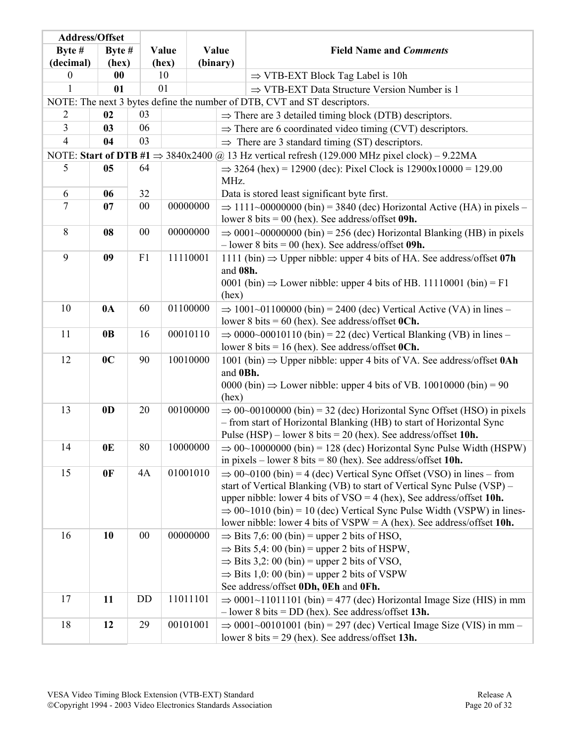|                | Address/Offset |    |          |          |          |                                                                                                                                                  |
|----------------|----------------|----|----------|----------|----------|--------------------------------------------------------------------------------------------------------------------------------------------------|
| Byte #         | Byte #         |    | Value    |          | Value    | <b>Field Name and Comments</b>                                                                                                                   |
| (decimal)      | (hex)          |    | (hex)    |          | (binary) |                                                                                                                                                  |
| 0              | 00             |    | 10       |          |          | $\Rightarrow$ VTB-EXT Block Tag Label is 10h                                                                                                     |
| 1              | 01             |    | 01       |          |          | $\Rightarrow$ VTB-EXT Data Structure Version Number is 1                                                                                         |
|                |                |    |          |          |          | NOTE: The next 3 bytes define the number of DTB, CVT and ST descriptors.                                                                         |
| 2              | 02             | 03 |          |          |          | $\Rightarrow$ There are 3 detailed timing block (DTB) descriptors.                                                                               |
| 3              | 0 <sub>3</sub> | 06 |          |          |          | $\Rightarrow$ There are 6 coordinated video timing (CVT) descriptors.                                                                            |
| $\overline{4}$ | 04             | 03 |          |          |          | $\Rightarrow$ There are 3 standard timing (ST) descriptors.                                                                                      |
|                |                |    |          |          |          | NOTE: Start of DTB #1 $\Rightarrow$ 3840x2400 @ 13 Hz vertical refresh (129.000 MHz pixel clock) – 9.22MA                                        |
| 5              | 05             | 64 |          |          |          | $\Rightarrow$ 3264 (hex) = 12900 (dec): Pixel Clock is 12900x10000 = 129.00                                                                      |
|                |                |    |          |          | MHz.     |                                                                                                                                                  |
| 6              | 06             | 32 |          |          |          | Data is stored least significant byte first.                                                                                                     |
| 7              | 07             | 00 |          | 00000000 |          | $\Rightarrow$ 1111~00000000 (bin) = 3840 (dec) Horizontal Active (HA) in pixels –                                                                |
|                |                |    |          |          |          | lower 8 bits = $00$ (hex). See address/offset 09h.                                                                                               |
| 8              | 08             | 00 |          | 00000000 |          | $\Rightarrow$ 0001~00000000 (bin) = 256 (dec) Horizontal Blanking (HB) in pixels                                                                 |
|                |                |    |          |          |          | $-$ lower 8 bits = 00 (hex). See address/offset 09h.                                                                                             |
| 9              | 09             | F1 |          | 11110001 |          | 1111 (bin) $\Rightarrow$ Upper nibble: upper 4 bits of HA. See address/offset 07h                                                                |
|                |                |    |          |          | and 08h. |                                                                                                                                                  |
|                |                |    |          |          |          | 0001 (bin) $\Rightarrow$ Lower nibble: upper 4 bits of HB. 11110001 (bin) = F1                                                                   |
|                |                |    |          |          | (hex)    |                                                                                                                                                  |
| 10             | 0 <sub>A</sub> | 60 | 01100000 |          |          | $\Rightarrow$ 1001~01100000 (bin) = 2400 (dec) Vertical Active (VA) in lines –                                                                   |
|                |                |    |          |          |          | lower 8 bits = $60$ (hex). See address/offset <b>0Ch.</b>                                                                                        |
| 11             | 0 <sub>B</sub> | 16 |          | 00010110 |          | $\Rightarrow$ 0000~00010110 (bin) = 22 (dec) Vertical Blanking (VB) in lines –                                                                   |
|                |                |    |          |          |          | lower 8 bits = $16$ (hex). See address/offset <b>0Ch.</b>                                                                                        |
| 12             | 0 <sup>C</sup> | 90 | 10010000 |          |          | 1001 (bin) $\Rightarrow$ Upper nibble: upper 4 bits of VA. See address/offset <b>0Ah</b>                                                         |
|                |                |    |          |          | and 0Bh. |                                                                                                                                                  |
|                |                |    |          |          |          | 0000 (bin) $\Rightarrow$ Lower nibble: upper 4 bits of VB. 10010000 (bin) = 90                                                                   |
|                |                |    |          |          | (hex)    |                                                                                                                                                  |
| 13             | 0 <sub>D</sub> | 20 |          | 00100000 |          | $\Rightarrow$ 00~00100000 (bin) = 32 (dec) Horizontal Sync Offset (HSO) in pixels                                                                |
|                |                |    |          |          |          | - from start of Horizontal Blanking (HB) to start of Horizontal Sync                                                                             |
|                | 0 <sub>E</sub> | 80 |          | 10000000 |          | Pulse (HSP) – lower 8 bits = 20 (hex). See address/offset 10h.                                                                                   |
| 14             |                |    |          |          |          | $\Rightarrow$ 00~10000000 (bin) = 128 (dec) Horizontal Sync Pulse Width (HSPW)<br>in pixels – lower 8 bits = $80$ (hex). See address/offset 10h. |
| 15             | 0F             | 4A |          | 01001010 |          | $\Rightarrow$ 00~0100 (bin) = 4 (dec) Vertical Sync Offset (VSO) in lines – from                                                                 |
|                |                |    |          |          |          | start of Vertical Blanking (VB) to start of Vertical Sync Pulse (VSP) –                                                                          |
|                |                |    |          |          |          | upper nibble: lower 4 bits of $VSO = 4$ (hex), See address/offset 10h.                                                                           |
|                |                |    |          |          |          | $\Rightarrow$ 00~1010 (bin) = 10 (dec) Vertical Sync Pulse Width (VSPW) in lines-                                                                |
|                |                |    |          |          |          | lower nibble: lower 4 bits of $VSPW = A$ (hex). See address/offset 10h.                                                                          |
| 16             | 10             | 00 |          | 00000000 |          | $\Rightarrow$ Bits 7,6: 00 (bin) = upper 2 bits of HSO,                                                                                          |
|                |                |    |          |          |          | $\Rightarrow$ Bits 5,4: 00 (bin) = upper 2 bits of HSPW,                                                                                         |
|                |                |    |          |          |          | $\Rightarrow$ Bits 3,2: 00 (bin) = upper 2 bits of VSO,                                                                                          |
|                |                |    |          |          |          | $\Rightarrow$ Bits 1,0: 00 (bin) = upper 2 bits of VSPW                                                                                          |
|                |                |    |          |          |          | See address/offset 0Dh, 0Eh and 0Fh.                                                                                                             |
| 17             | 11             | DD |          | 11011101 |          | $\Rightarrow$ 0001~11011101 (bin) = 477 (dec) Horizontal Image Size (HIS) in mm                                                                  |
|                |                |    |          |          |          | $-$ lower 8 bits = DD (hex). See address/offset 13h.                                                                                             |
| 18             | 12             | 29 |          | 00101001 |          | $\Rightarrow$ 0001~00101001 (bin) = 297 (dec) Vertical Image Size (VIS) in mm –                                                                  |
|                |                |    |          |          |          | lower 8 bits = $29$ (hex). See address/offset 13h.                                                                                               |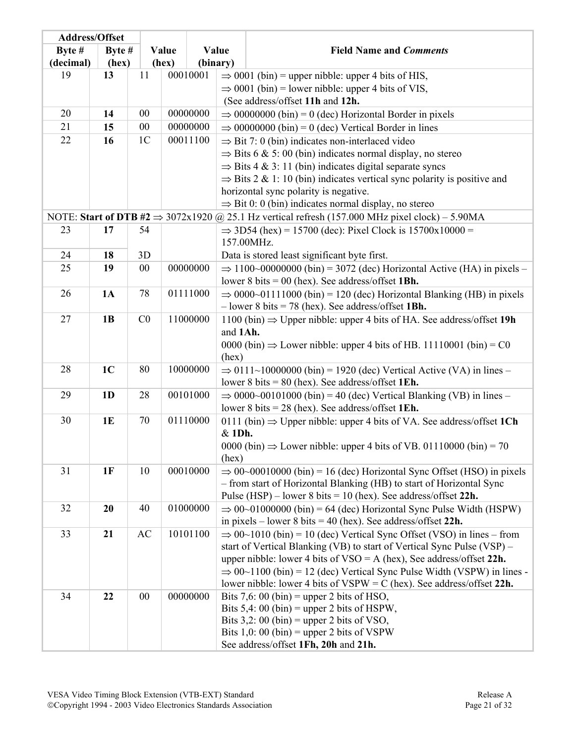|           | <b>Address/Offset</b> |                |       |          |          |                                                                                                                                               |
|-----------|-----------------------|----------------|-------|----------|----------|-----------------------------------------------------------------------------------------------------------------------------------------------|
| Byte #    | Byte $#$              |                | Value |          | Value    | <b>Field Name and Comments</b>                                                                                                                |
| (decimal) | (hex)                 |                | (hex) |          | (binary) |                                                                                                                                               |
| 19        | 13                    | 11             |       | 00010001 |          | $\Rightarrow$ 0001 (bin) = upper nibble: upper 4 bits of HIS,                                                                                 |
|           |                       |                |       |          |          | $\Rightarrow$ 0001 (bin) = lower nibble: upper 4 bits of VIS,                                                                                 |
|           |                       |                |       |          |          | (See address/offset 11h and 12h.                                                                                                              |
| 20        | 14                    | $00\,$         |       | 00000000 |          | $\Rightarrow$ 00000000 (bin) = 0 (dec) Horizontal Border in pixels                                                                            |
| 21        | 15                    | $00\,$         |       | 00000000 |          | $\Rightarrow$ 00000000 (bin) = 0 (dec) Vertical Border in lines                                                                               |
| 22        | 16                    | 1 <sup>C</sup> |       | 00011100 |          | $\Rightarrow$ Bit 7: 0 (bin) indicates non-interlaced video                                                                                   |
|           |                       |                |       |          |          | $\Rightarrow$ Bits 6 & 5:00 (bin) indicates normal display, no stereo                                                                         |
|           |                       |                |       |          |          | $\Rightarrow$ Bits 4 & 3: 11 (bin) indicates digital separate syncs                                                                           |
|           |                       |                |       |          |          | $\Rightarrow$ Bits 2 & 1: 10 (bin) indicates vertical sync polarity is positive and                                                           |
|           |                       |                |       |          |          | horizontal sync polarity is negative.                                                                                                         |
|           |                       |                |       |          |          | $\Rightarrow$ Bit 0: 0 (bin) indicates normal display, no stereo                                                                              |
|           |                       |                |       |          |          | NOTE: Start of DTB #2 $\Rightarrow$ 3072x1920 @ 25.1 Hz vertical refresh (157.000 MHz pixel clock) – 5.90MA                                   |
| 23        | 17                    | 54             |       |          |          | $\Rightarrow$ 3D54 (hex) = 15700 (dec): Pixel Clock is 15700x10000 =                                                                          |
|           |                       |                |       |          |          | 157.00MHz.                                                                                                                                    |
| 24        | 18                    | 3D             |       |          |          | Data is stored least significant byte first.                                                                                                  |
| 25        | 19                    | $00\,$         |       | 00000000 |          | $\Rightarrow$ 1100~00000000 (bin) = 3072 (dec) Horizontal Active (HA) in pixels –                                                             |
|           |                       |                |       | 01111000 |          | lower 8 bits = $00$ (hex). See address/offset 1Bh.                                                                                            |
| 26        | 1A                    | 78             |       |          |          | $\Rightarrow$ 0000~01111000 (bin) = 120 (dec) Horizontal Blanking (HB) in pixels<br>$-$ lower 8 bits = 78 (hex). See address/offset 1Bh.      |
| 27        | 1B                    | C <sub>0</sub> |       | 11000000 |          |                                                                                                                                               |
|           |                       |                |       |          | and 1Ah. | 1100 (bin) $\Rightarrow$ Upper nibble: upper 4 bits of HA. See address/offset 19h                                                             |
|           |                       |                |       |          |          | 0000 (bin) $\Rightarrow$ Lower nibble: upper 4 bits of HB. 11110001 (bin) = C0                                                                |
|           |                       |                |       |          | (hex)    |                                                                                                                                               |
| 28        | 1 <sub>C</sub>        | 80             |       | 10000000 |          | $\Rightarrow$ 0111~10000000 (bin) = 1920 (dec) Vertical Active (VA) in lines –                                                                |
|           |                       |                |       |          |          | lower 8 bits = $80$ (hex). See address/offset 1Eh.                                                                                            |
| 29        | 1 <sub>D</sub>        | 28             |       | 00101000 |          | $\Rightarrow$ 0000~00101000 (bin) = 40 (dec) Vertical Blanking (VB) in lines –                                                                |
|           |                       |                |       |          |          | lower 8 bits = $28$ (hex). See address/offset 1Eh.                                                                                            |
| 30        | 1E                    | 70             |       | 01110000 |          | 0111 (bin) $\Rightarrow$ Upper nibble: upper 4 bits of VA. See address/offset 1Ch                                                             |
|           |                       |                |       |          | & 1Dh.   |                                                                                                                                               |
|           |                       |                |       |          |          | 0000 (bin) $\Rightarrow$ Lower nibble: upper 4 bits of VB. 01110000 (bin) = 70                                                                |
|           |                       |                |       |          | (hex)    |                                                                                                                                               |
| 31        | 1F                    | 10             |       | 00010000 |          | $\Rightarrow$ 00~00010000 (bin) = 16 (dec) Horizontal Sync Offset (HSO) in pixels                                                             |
|           |                       |                |       |          |          | - from start of Horizontal Blanking (HB) to start of Horizontal Sync                                                                          |
| 32        | 20                    | 40             |       | 01000000 |          | Pulse (HSP) – lower 8 bits = 10 (hex). See address/offset $22h$ .                                                                             |
|           |                       |                |       |          |          | $\Rightarrow$ 00~01000000 (bin) = 64 (dec) Horizontal Sync Pulse Width (HSPW)<br>in pixels – lower 8 bits = 40 (hex). See address/offset 22h. |
| 33        | 21                    | AC             |       | 10101100 |          | $\Rightarrow$ 00~1010 (bin) = 10 (dec) Vertical Sync Offset (VSO) in lines – from                                                             |
|           |                       |                |       |          |          | start of Vertical Blanking (VB) to start of Vertical Sync Pulse (VSP) –                                                                       |
|           |                       |                |       |          |          | upper nibble: lower 4 bits of $VSO = A$ (hex), See address/offset 22h.                                                                        |
|           |                       |                |       |          |          | $\Rightarrow$ 00~1100 (bin) = 12 (dec) Vertical Sync Pulse Width (VSPW) in lines -                                                            |
|           |                       |                |       |          |          | lower nibble: lower 4 bits of $VSPW = C$ (hex). See address/offset 22h.                                                                       |
| 34        | 22                    | $00\,$         |       | 00000000 |          | Bits 7,6: 00 (bin) = upper 2 bits of HSO,                                                                                                     |
|           |                       |                |       |          |          | Bits $5,4$ : 00 (bin) = upper 2 bits of HSPW,                                                                                                 |
|           |                       |                |       |          |          | Bits 3,2: 00 (bin) = upper 2 bits of VSO,                                                                                                     |
|           |                       |                |       |          |          | Bits $1,0$ : 00 (bin) = upper 2 bits of VSPW                                                                                                  |
|           |                       |                |       |          |          | See address/offset 1Fh, 20h and 21h.                                                                                                          |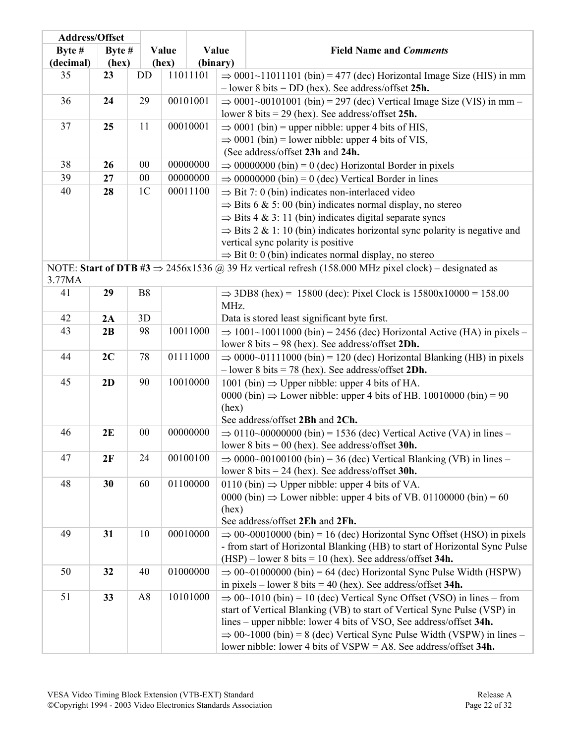|           | <b>Address/Offset</b> |                |          |          |          |                                                                                                                                                                 |  |
|-----------|-----------------------|----------------|----------|----------|----------|-----------------------------------------------------------------------------------------------------------------------------------------------------------------|--|
| Byte #    | Byte #                |                | Value    | Value    |          | <b>Field Name and Comments</b>                                                                                                                                  |  |
| (decimal) | (hex)                 |                | (hex)    |          | (binary) |                                                                                                                                                                 |  |
| 35        | 23                    | DD             |          | 11011101 |          | $\Rightarrow$ 0001~11011101 (bin) = 477 (dec) Horizontal Image Size (HIS) in mm                                                                                 |  |
|           |                       |                |          |          |          | $-$ lower 8 bits = DD (hex). See address/offset 25h.                                                                                                            |  |
| 36        | 24                    | 29             |          | 00101001 |          | $\Rightarrow$ 0001~00101001 (bin) = 297 (dec) Vertical Image Size (VIS) in mm –                                                                                 |  |
|           |                       |                |          |          |          | lower 8 bits = $29$ (hex). See address/offset 25h.                                                                                                              |  |
| 37        | 25                    | 11             |          | 00010001 |          | $\Rightarrow$ 0001 (bin) = upper nibble: upper 4 bits of HIS,                                                                                                   |  |
|           |                       |                |          |          |          | $\Rightarrow$ 0001 (bin) = lower nibble: upper 4 bits of VIS,                                                                                                   |  |
|           |                       |                |          |          |          | (See address/offset 23h and 24h.                                                                                                                                |  |
| 38        | 26                    | $00\,$         |          | 00000000 |          | $\Rightarrow$ 00000000 (bin) = 0 (dec) Horizontal Border in pixels                                                                                              |  |
| 39        | 27                    | $00\,$         |          | 00000000 |          | $\Rightarrow$ 00000000 (bin) = 0 (dec) Vertical Border in lines                                                                                                 |  |
| 40        | 28                    | 1 <sup>C</sup> |          | 00011100 |          | $\Rightarrow$ Bit 7: 0 (bin) indicates non-interlaced video                                                                                                     |  |
|           |                       |                |          |          |          | $\Rightarrow$ Bits 6 & 5: 00 (bin) indicates normal display, no stereo                                                                                          |  |
|           |                       |                |          |          |          | $\Rightarrow$ Bits 4 & 3: 11 (bin) indicates digital separate syncs                                                                                             |  |
|           |                       |                |          |          |          | $\Rightarrow$ Bits 2 & 1:10 (bin) indicates horizontal sync polarity is negative and                                                                            |  |
|           |                       |                |          |          |          | vertical sync polarity is positive                                                                                                                              |  |
|           |                       |                |          |          |          | $\Rightarrow$ Bit 0: 0 (bin) indicates normal display, no stereo                                                                                                |  |
|           |                       |                |          |          |          | NOTE: Start of DTB #3 $\Rightarrow$ 2456x1536 @ 39 Hz vertical refresh (158.000 MHz pixel clock) – designated as                                                |  |
| 3.77MA    |                       |                |          |          |          |                                                                                                                                                                 |  |
| 41        | 29                    | <b>B8</b>      |          |          |          | $\Rightarrow$ 3DB8 (hex) = 15800 (dec): Pixel Clock is 15800x10000 = 158.00                                                                                     |  |
|           |                       |                |          |          | MHz.     |                                                                                                                                                                 |  |
| 42        | 2A                    | 3D             |          |          |          | Data is stored least significant byte first.                                                                                                                    |  |
| 43        | 2B                    | 98             | 10011000 |          |          | $\Rightarrow$ 1001~10011000 (bin) = 2456 (dec) Horizontal Active (HA) in pixels –<br>lower 8 bits = $98$ (hex). See address/offset 2Dh.                         |  |
| 44        | 2C                    | 78             | 01111000 |          |          | $\Rightarrow$ 0000~01111000 (bin) = 120 (dec) Horizontal Blanking (HB) in pixels                                                                                |  |
|           |                       |                |          |          |          | $-$ lower 8 bits = 78 (hex). See address/offset 2Dh.                                                                                                            |  |
| 45        | 2D                    | 90             |          | 10010000 |          | 1001 (bin) $\Rightarrow$ Upper nibble: upper 4 bits of HA.                                                                                                      |  |
|           |                       |                |          |          |          | 0000 (bin) $\Rightarrow$ Lower nibble: upper 4 bits of HB. 10010000 (bin) = 90                                                                                  |  |
|           |                       |                |          |          | (hex)    |                                                                                                                                                                 |  |
|           |                       |                |          |          |          | See address/offset 2Bh and 2Ch.                                                                                                                                 |  |
| 46        | 2E                    | $00\,$         |          | 00000000 |          | $\Rightarrow$ 0110~00000000 (bin) = 1536 (dec) Vertical Active (VA) in lines –                                                                                  |  |
|           |                       |                |          |          |          | lower 8 bits = $00$ (hex). See address/offset 30h.                                                                                                              |  |
| 47        | 2F                    | 24             |          | 00100100 |          | $\Rightarrow$ 0000~00100100 (bin) = 36 (dec) Vertical Blanking (VB) in lines –                                                                                  |  |
|           |                       |                |          |          |          | lower 8 bits = $24$ (hex). See address/offset 30h.                                                                                                              |  |
| 48        | 30                    | 60             |          | 01100000 |          | 0110 (bin) $\Rightarrow$ Upper nibble: upper 4 bits of VA.                                                                                                      |  |
|           |                       |                |          |          |          | 0000 (bin) $\Rightarrow$ Lower nibble: upper 4 bits of VB. 01100000 (bin) = 60                                                                                  |  |
|           |                       |                |          |          | (hex)    | See address/offset 2Eh and 2Fh.                                                                                                                                 |  |
| 49        | 31                    | 10             |          | 00010000 |          |                                                                                                                                                                 |  |
|           |                       |                |          |          |          | $\Rightarrow$ 00~00010000 (bin) = 16 (dec) Horizontal Sync Offset (HSO) in pixels<br>- from start of Horizontal Blanking (HB) to start of Horizontal Sync Pulse |  |
|           |                       |                |          |          |          | $(HSP)$ – lower 8 bits = 10 (hex). See address/offset 34h.                                                                                                      |  |
| 50        | 32                    | 40             |          |          |          | $\Rightarrow$ 00~01000000 (bin) = 64 (dec) Horizontal Sync Pulse Width (HSPW)                                                                                   |  |
|           |                       |                | 01000000 |          |          | in pixels – lower 8 bits = 40 (hex). See address/offset $34h$ .                                                                                                 |  |
| 51        | 33                    | A8             |          | 10101000 |          | $\Rightarrow$ 00~1010 (bin) = 10 (dec) Vertical Sync Offset (VSO) in lines – from                                                                               |  |
|           |                       |                |          |          |          | start of Vertical Blanking (VB) to start of Vertical Sync Pulse (VSP) in                                                                                        |  |
|           |                       |                |          |          |          | lines – upper nibble: lower 4 bits of VSO, See address/offset 34h.                                                                                              |  |
|           |                       |                |          |          |          | $\Rightarrow$ 00~1000 (bin) = 8 (dec) Vertical Sync Pulse Width (VSPW) in lines –                                                                               |  |
|           |                       |                |          |          |          | lower nibble: lower 4 bits of $VSPW = A8$ . See address/offset 34h.                                                                                             |  |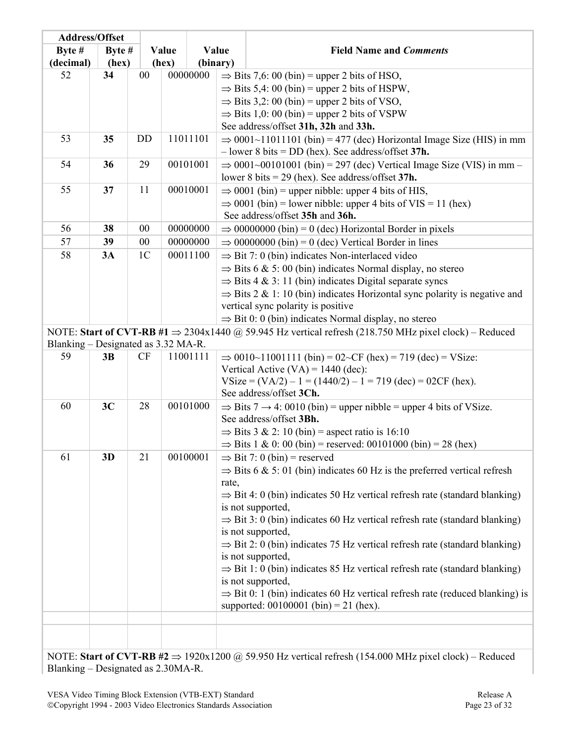| Byte #<br>Value<br>Byte $#$<br>Value<br><b>Field Name and Comments</b><br>(binary)<br>(decimal)<br>(hex)<br>(hex)                                                            |  |
|------------------------------------------------------------------------------------------------------------------------------------------------------------------------------|--|
|                                                                                                                                                                              |  |
|                                                                                                                                                                              |  |
| 00000000<br>$00\,$<br>52<br>34<br>$\Rightarrow$ Bits 7,6: 00 (bin) = upper 2 bits of HSO,                                                                                    |  |
| $\Rightarrow$ Bits 5,4: 00 (bin) = upper 2 bits of HSPW,                                                                                                                     |  |
| $\Rightarrow$ Bits 3,2: 00 (bin) = upper 2 bits of VSO,                                                                                                                      |  |
| $\Rightarrow$ Bits 1,0: 00 (bin) = upper 2 bits of VSPW                                                                                                                      |  |
| See address/offset 31h, 32h and 33h.                                                                                                                                         |  |
| 11011101<br>53<br>35<br><b>DD</b><br>$\Rightarrow$ 0001~11011101 (bin) = 477 (dec) Horizontal Image Size (HIS) in mm<br>$-$ lower 8 bits = DD (hex). See address/offset 37h. |  |
| 54<br>00101001<br>29<br>36<br>$\Rightarrow$ 0001~00101001 (bin) = 297 (dec) Vertical Image Size (VIS) in mm –<br>lower 8 bits = 29 (hex). See address/offset $37h$ .         |  |
| 00010001<br>55<br>11<br>$\Rightarrow$ 0001 (bin) = upper nibble: upper 4 bits of HIS,<br>37                                                                                  |  |
| $\Rightarrow$ 0001 (bin) = lower nibble: upper 4 bits of VIS = 11 (hex)                                                                                                      |  |
| See address/offset 35h and 36h.                                                                                                                                              |  |
| 00000000<br>56<br>38<br>$00\,$<br>$\Rightarrow$ 00000000 (bin) = 0 (dec) Horizontal Border in pixels                                                                         |  |
| 57<br>$00\,$<br>00000000<br>39<br>$\Rightarrow$ 00000000 (bin) = 0 (dec) Vertical Border in lines                                                                            |  |
| 58<br>1 <sup>C</sup><br>00011100<br>3A<br>$\Rightarrow$ Bit 7: 0 (bin) indicates Non-interlaced video                                                                        |  |
| $\Rightarrow$ Bits 6 & 5: 00 (bin) indicates Normal display, no stereo                                                                                                       |  |
| $\Rightarrow$ Bits 4 & 3: 11 (bin) indicates Digital separate syncs                                                                                                          |  |
| $\Rightarrow$ Bits 2 & 1: 10 (bin) indicates Horizontal sync polarity is negative and                                                                                        |  |
| vertical sync polarity is positive                                                                                                                                           |  |
| $\Rightarrow$ Bit 0: 0 (bin) indicates Normal display, no stereo                                                                                                             |  |
| NOTE: Start of CVT-RB #1 $\Rightarrow$ 2304x1440 @ 59.945 Hz vertical refresh (218.750 MHz pixel clock) – Reduced<br>Blanking – Designated as 3.32 MA-R.                     |  |
| 59<br>CF<br>11001111<br>$\Rightarrow$ 0010~11001111 (bin) = 02~CF (hex) = 719 (dec) = VSize:<br>3B                                                                           |  |
| Vertical Active (VA) = $1440$ (dec):                                                                                                                                         |  |
| VSize = $(VA/2) - 1 = (1440/2) - 1 = 719$ (dec) = 02CF (hex).                                                                                                                |  |
| See address/offset 3Ch.                                                                                                                                                      |  |
| 28<br>00101000<br>60<br>3C<br>$\Rightarrow$ Bits 7 $\rightarrow$ 4: 0010 (bin) = upper nibble = upper 4 bits of VSize.<br>See address/offset 3Bh.                            |  |
| $\Rightarrow$ Bits 3 & 2: 10 (bin) = aspect ratio is 16:10                                                                                                                   |  |
| $\Rightarrow$ Bits 1 & 0: 00 (bin) = reserved: 00101000 (bin) = 28 (hex)                                                                                                     |  |
| 00100001<br>21<br>61<br>3D<br>$\Rightarrow$ Bit 7: 0 (bin) = reserved                                                                                                        |  |
| $\Rightarrow$ Bits 6 & 5: 01 (bin) indicates 60 Hz is the preferred vertical refresh                                                                                         |  |
| rate,                                                                                                                                                                        |  |
| $\Rightarrow$ Bit 4: 0 (bin) indicates 50 Hz vertical refresh rate (standard blanking)<br>is not supported,                                                                  |  |
| $\Rightarrow$ Bit 3: 0 (bin) indicates 60 Hz vertical refresh rate (standard blanking)                                                                                       |  |
| is not supported,                                                                                                                                                            |  |
| $\Rightarrow$ Bit 2: 0 (bin) indicates 75 Hz vertical refresh rate (standard blanking)                                                                                       |  |
| is not supported,                                                                                                                                                            |  |
| $\Rightarrow$ Bit 1: 0 (bin) indicates 85 Hz vertical refresh rate (standard blanking)                                                                                       |  |
| is not supported,                                                                                                                                                            |  |
| $\Rightarrow$ Bit 0: 1 (bin) indicates 60 Hz vertical refresh rate (reduced blanking) is<br>supported: $00100001$ (bin) = 21 (hex).                                          |  |
|                                                                                                                                                                              |  |
|                                                                                                                                                                              |  |
| NOTE: Start of CVT-RR $\sharp 2 \to 1920v1200$ @ 59.950 Hz vertical refresh (154.000 MHz pivel clock) – Reduced                                                              |  |

NOTE: **Start of CVT-RB #2** ⇒ 1920x1200 @ 59.950 Hz vertical refresh (154.000 MHz pixel clock) – Reduced Blanking – Designated as 2.30MA-R.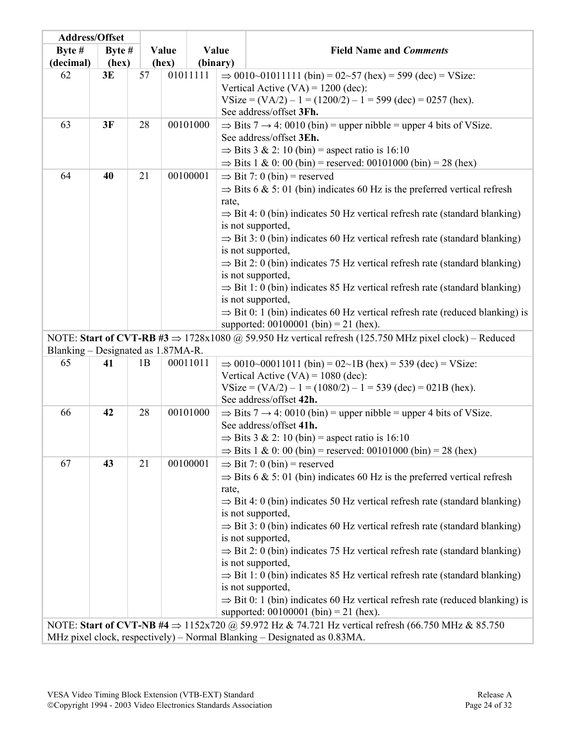| <b>Address/Offset</b>              |        |    |       |          |                                                               |                                                                                                                                 |  |  |
|------------------------------------|--------|----|-------|----------|---------------------------------------------------------------|---------------------------------------------------------------------------------------------------------------------------------|--|--|
| Byte #                             | Byte # |    | Value |          | Value                                                         | <b>Field Name and Comments</b>                                                                                                  |  |  |
| (decimal)                          | (hex)  |    | (hex) |          | (binary)                                                      |                                                                                                                                 |  |  |
| 62                                 | 3E     | 57 |       | 01011111 |                                                               | $\Rightarrow$ 0010~01011111 (bin) = 02~57 (hex) = 599 (dec) = VSize:                                                            |  |  |
|                                    |        |    |       |          |                                                               | Vertical Active $(VA) = 1200$ (dec):                                                                                            |  |  |
|                                    |        |    |       |          |                                                               | VSize = $(VA/2) - 1 = (1200/2) - 1 = 599$ (dec) = 0257 (hex).                                                                   |  |  |
|                                    |        |    |       |          |                                                               | See address/offset 3Fh.                                                                                                         |  |  |
| 63                                 | 3F     | 28 |       | 00101000 |                                                               | $\Rightarrow$ Bits 7 $\rightarrow$ 4: 0010 (bin) = upper nibble = upper 4 bits of VSize.                                        |  |  |
|                                    |        |    |       |          |                                                               | See address/offset 3Eh.                                                                                                         |  |  |
|                                    |        |    |       |          |                                                               | $\Rightarrow$ Bits 3 & 2: 10 (bin) = aspect ratio is 16:10                                                                      |  |  |
|                                    |        |    |       |          |                                                               | $\Rightarrow$ Bits 1 & 0: 00 (bin) = reserved: 00101000 (bin) = 28 (hex)                                                        |  |  |
| 64                                 | 40     | 21 |       | 00100001 |                                                               | $\Rightarrow$ Bit 7: 0 (bin) = reserved                                                                                         |  |  |
|                                    |        |    |       |          |                                                               | $\Rightarrow$ Bits 6 & 5: 01 (bin) indicates 60 Hz is the preferred vertical refresh                                            |  |  |
|                                    |        |    |       |          | rate,                                                         |                                                                                                                                 |  |  |
|                                    |        |    |       |          |                                                               | $\Rightarrow$ Bit 4: 0 (bin) indicates 50 Hz vertical refresh rate (standard blanking)                                          |  |  |
|                                    |        |    |       |          |                                                               | is not supported,<br>$\Rightarrow$ Bit 3: 0 (bin) indicates 60 Hz vertical refresh rate (standard blanking)                     |  |  |
|                                    |        |    |       |          |                                                               | is not supported,                                                                                                               |  |  |
|                                    |        |    |       |          |                                                               | $\Rightarrow$ Bit 2: 0 (bin) indicates 75 Hz vertical refresh rate (standard blanking)                                          |  |  |
|                                    |        |    |       |          |                                                               | is not supported,                                                                                                               |  |  |
|                                    |        |    |       |          |                                                               | $\Rightarrow$ Bit 1: 0 (bin) indicates 85 Hz vertical refresh rate (standard blanking)                                          |  |  |
|                                    |        |    |       |          |                                                               | is not supported,                                                                                                               |  |  |
|                                    |        |    |       |          |                                                               | $\Rightarrow$ Bit 0: 1 (bin) indicates 60 Hz vertical refresh rate (reduced blanking) is                                        |  |  |
|                                    |        |    |       |          |                                                               | supported: $00100001$ (bin) = 21 (hex).                                                                                         |  |  |
|                                    |        |    |       |          |                                                               | NOTE: Start of CVT-RB #3 $\Rightarrow$ 1728x1080 @ 59.950 Hz vertical refresh (125.750 MHz pixel clock) – Reduced               |  |  |
| Blanking – Designated as 1.87MA-R. |        |    |       |          |                                                               |                                                                                                                                 |  |  |
| 65                                 | 41     | 1B |       | 00011011 |                                                               | $\Rightarrow$ 0010~00011011 (bin) = 02~1B (hex) = 539 (dec) = VSize:                                                            |  |  |
|                                    |        |    |       |          |                                                               | Vertical Active (VA) = $1080$ (dec):                                                                                            |  |  |
|                                    |        |    |       |          | VSize = $(VA/2) - 1 = (1080/2) - 1 = 539$ (dec) = 021B (hex). |                                                                                                                                 |  |  |
|                                    |        |    |       |          |                                                               | See address/offset 42h.                                                                                                         |  |  |
| 66                                 | 42     | 28 |       | 00101000 |                                                               | $\Rightarrow$ Bits 7 $\rightarrow$ 4: 0010 (bin) = upper nibble = upper 4 bits of VSize.                                        |  |  |
|                                    |        |    |       |          |                                                               | See address/offset 41h.                                                                                                         |  |  |
|                                    |        |    |       |          |                                                               | $\Rightarrow$ Bits 3 & 2: 10 (bin) = aspect ratio is 16:10                                                                      |  |  |
| 67                                 | 43     | 21 |       | 00100001 |                                                               | $\Rightarrow$ Bits 1 & 0: 00 (bin) = reserved: 00101000 (bin) = 28 (hex)                                                        |  |  |
|                                    |        |    |       |          |                                                               | $\Rightarrow$ Bit 7: 0 (bin) = reserved<br>$\Rightarrow$ Bits 6 & 5: 01 (bin) indicates 60 Hz is the preferred vertical refresh |  |  |
|                                    |        |    |       |          | rate,                                                         |                                                                                                                                 |  |  |
|                                    |        |    |       |          |                                                               | $\Rightarrow$ Bit 4: 0 (bin) indicates 50 Hz vertical refresh rate (standard blanking)                                          |  |  |
|                                    |        |    |       |          |                                                               | is not supported,                                                                                                               |  |  |
|                                    |        |    |       |          |                                                               | $\Rightarrow$ Bit 3: 0 (bin) indicates 60 Hz vertical refresh rate (standard blanking)                                          |  |  |
|                                    |        |    |       |          |                                                               | is not supported,                                                                                                               |  |  |
|                                    |        |    |       |          |                                                               | $\Rightarrow$ Bit 2: 0 (bin) indicates 75 Hz vertical refresh rate (standard blanking)                                          |  |  |
|                                    |        |    |       |          |                                                               | is not supported,                                                                                                               |  |  |
|                                    |        |    |       |          |                                                               | $\Rightarrow$ Bit 1: 0 (bin) indicates 85 Hz vertical refresh rate (standard blanking)                                          |  |  |
|                                    |        |    |       |          |                                                               | is not supported,                                                                                                               |  |  |
|                                    |        |    |       |          |                                                               | $\Rightarrow$ Bit 0: 1 (bin) indicates 60 Hz vertical refresh rate (reduced blanking) is                                        |  |  |
|                                    |        |    |       |          |                                                               | supported: $00100001$ (bin) = 21 (hex).                                                                                         |  |  |
|                                    |        |    |       |          |                                                               | NOTE: Start of CVT-NB #4 $\Rightarrow$ 1152x720 @ 59.972 Hz & 74.721 Hz vertical refresh (66.750 MHz & 85.750                   |  |  |
|                                    |        |    |       |          |                                                               | MHz pixel clock, respectively) – Normal Blanking – Designated as 0.83MA.                                                        |  |  |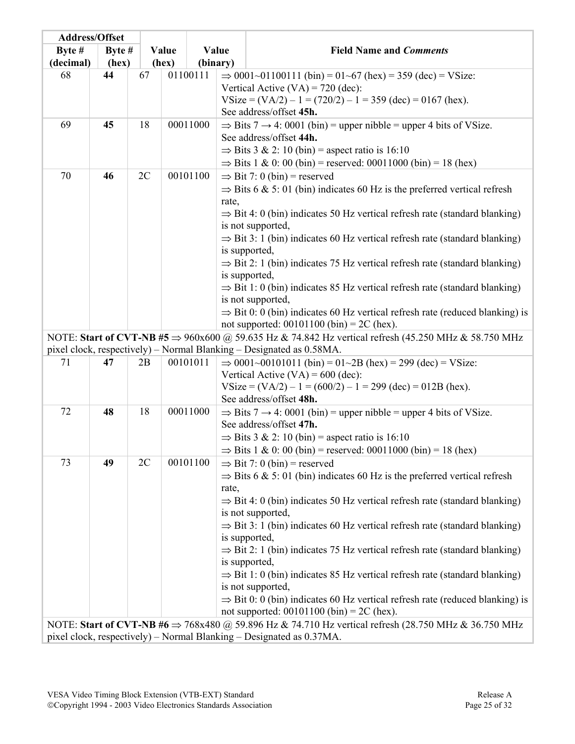| Address/Offset |        |    |       |          |                                                              |                                                                                                                                                                              |  |  |
|----------------|--------|----|-------|----------|--------------------------------------------------------------|------------------------------------------------------------------------------------------------------------------------------------------------------------------------------|--|--|
| Byte #         | Byte # |    | Value |          | Value                                                        | <b>Field Name and Comments</b>                                                                                                                                               |  |  |
| (decimal)      | (hex)  |    | (hex) |          | (binary)                                                     |                                                                                                                                                                              |  |  |
| 68             | 44     | 67 |       | 01100111 |                                                              | $\Rightarrow$ 0001~01100111 (bin) = 01~67 (hex) = 359 (dec) = VSize:                                                                                                         |  |  |
|                |        |    |       |          |                                                              | Vertical Active (VA) = $720$ (dec):                                                                                                                                          |  |  |
|                |        |    |       |          |                                                              | VSize = $(VA/2) - 1 = (720/2) - 1 = 359$ (dec) = 0167 (hex).                                                                                                                 |  |  |
|                |        |    |       |          |                                                              | See address/offset 45h.                                                                                                                                                      |  |  |
| 69             | 45     | 18 |       | 00011000 |                                                              | $\Rightarrow$ Bits 7 $\rightarrow$ 4: 0001 (bin) = upper nibble = upper 4 bits of VSize.                                                                                     |  |  |
|                |        |    |       |          |                                                              | See address/offset 44h.                                                                                                                                                      |  |  |
|                |        |    |       |          |                                                              | $\Rightarrow$ Bits 3 & 2: 10 (bin) = aspect ratio is 16:10                                                                                                                   |  |  |
|                |        |    |       |          |                                                              | $\Rightarrow$ Bits 1 & 0: 00 (bin) = reserved: 00011000 (bin) = 18 (hex)                                                                                                     |  |  |
| 70             | 46     | 2C |       | 00101100 |                                                              | $\Rightarrow$ Bit 7: 0 (bin) = reserved                                                                                                                                      |  |  |
|                |        |    |       |          |                                                              | $\Rightarrow$ Bits 6 & 5: 01 (bin) indicates 60 Hz is the preferred vertical refresh                                                                                         |  |  |
|                |        |    |       |          | rate,                                                        |                                                                                                                                                                              |  |  |
|                |        |    |       |          |                                                              | $\Rightarrow$ Bit 4: 0 (bin) indicates 50 Hz vertical refresh rate (standard blanking)                                                                                       |  |  |
|                |        |    |       |          |                                                              | is not supported,                                                                                                                                                            |  |  |
|                |        |    |       |          |                                                              | $\Rightarrow$ Bit 3: 1 (bin) indicates 60 Hz vertical refresh rate (standard blanking)                                                                                       |  |  |
|                |        |    |       |          |                                                              | is supported,                                                                                                                                                                |  |  |
|                |        |    |       |          |                                                              | $\Rightarrow$ Bit 2: 1 (bin) indicates 75 Hz vertical refresh rate (standard blanking)                                                                                       |  |  |
|                |        |    |       |          |                                                              | is supported,                                                                                                                                                                |  |  |
|                |        |    |       |          |                                                              | $\Rightarrow$ Bit 1: 0 (bin) indicates 85 Hz vertical refresh rate (standard blanking)                                                                                       |  |  |
|                |        |    |       |          |                                                              | is not supported,                                                                                                                                                            |  |  |
|                |        |    |       |          |                                                              | $\Rightarrow$ Bit 0: 0 (bin) indicates 60 Hz vertical refresh rate (reduced blanking) is                                                                                     |  |  |
|                |        |    |       |          |                                                              | not supported: $00101100$ (bin) = 2C (hex).                                                                                                                                  |  |  |
|                |        |    |       |          |                                                              | NOTE: Start of CVT-NB #5 $\Rightarrow$ 960x600 @ 59.635 Hz & 74.842 Hz vertical refresh (45.250 MHz & 58.750 MHz                                                             |  |  |
|                |        |    |       |          |                                                              | pixel clock, respectively) - Normal Blanking - Designated as 0.58MA.                                                                                                         |  |  |
| 71             | 47     | 2B |       | 00101011 |                                                              | $\Rightarrow$ 0001~00101011 (bin) = 01~2B (hex) = 299 (dec) = VSize:                                                                                                         |  |  |
|                |        |    |       |          | Vertical Active $(VA) = 600$ (dec):                          |                                                                                                                                                                              |  |  |
|                |        |    |       |          | VSize = $(VA/2) - 1 = (600/2) - 1 = 299$ (dec) = 012B (hex). |                                                                                                                                                                              |  |  |
|                |        |    |       |          |                                                              | See address/offset 48h.                                                                                                                                                      |  |  |
| 72             | 48     | 18 |       | 00011000 |                                                              | $\Rightarrow$ Bits 7 $\rightarrow$ 4: 0001 (bin) = upper nibble = upper 4 bits of VSize.                                                                                     |  |  |
|                |        |    |       |          |                                                              | See address/offset 47h.                                                                                                                                                      |  |  |
|                |        |    |       |          |                                                              | $\Rightarrow$ Bits 3 & 2: 10 (bin) = aspect ratio is 16:10                                                                                                                   |  |  |
|                |        |    |       |          |                                                              | $\Rightarrow$ Bits 1 & 0: 00 (bin) = reserved: 00011000 (bin) = 18 (hex)                                                                                                     |  |  |
| 73             | 49     | 2C |       | 00101100 |                                                              | $\Rightarrow$ Bit 7: 0 (bin) = reserved                                                                                                                                      |  |  |
|                |        |    |       |          |                                                              | $\Rightarrow$ Bits 6 & 5: 01 (bin) indicates 60 Hz is the preferred vertical refresh                                                                                         |  |  |
|                |        |    |       |          | rate,                                                        |                                                                                                                                                                              |  |  |
|                |        |    |       |          |                                                              | $\Rightarrow$ Bit 4: 0 (bin) indicates 50 Hz vertical refresh rate (standard blanking)                                                                                       |  |  |
|                |        |    |       |          |                                                              | is not supported,                                                                                                                                                            |  |  |
|                |        |    |       |          |                                                              | $\Rightarrow$ Bit 3: 1 (bin) indicates 60 Hz vertical refresh rate (standard blanking)                                                                                       |  |  |
|                |        |    |       |          |                                                              | is supported,                                                                                                                                                                |  |  |
|                |        |    |       |          |                                                              | $\Rightarrow$ Bit 2: 1 (bin) indicates 75 Hz vertical refresh rate (standard blanking)                                                                                       |  |  |
|                |        |    |       |          |                                                              | is supported,                                                                                                                                                                |  |  |
|                |        |    |       |          |                                                              | $\Rightarrow$ Bit 1: 0 (bin) indicates 85 Hz vertical refresh rate (standard blanking)                                                                                       |  |  |
|                |        |    |       |          |                                                              | is not supported,                                                                                                                                                            |  |  |
|                |        |    |       |          |                                                              | $\Rightarrow$ Bit 0: 0 (bin) indicates 60 Hz vertical refresh rate (reduced blanking) is                                                                                     |  |  |
|                |        |    |       |          |                                                              | not supported: $00101100$ (bin) = 2C (hex).                                                                                                                                  |  |  |
|                |        |    |       |          |                                                              | NOTE: Start of CVT-NB #6 ⇒ 768x480 @ 59.896 Hz & 74.710 Hz vertical refresh (28.750 MHz & 36.750 MHz<br>pixel clock, respectively) – Normal Blanking – Designated as 0.37MA. |  |  |
|                |        |    |       |          |                                                              |                                                                                                                                                                              |  |  |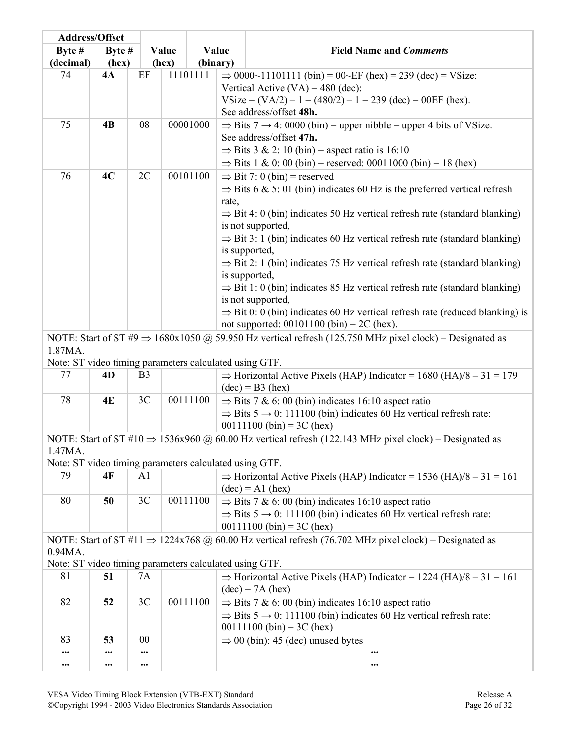|                                                                   | <b>Address/Offset</b> |                |       |          |       |                                                                                                                                                                                                                                                                                                                                                                                                                                                                                                                                                                                                                                                                                                                                                                                                                                                       |
|-------------------------------------------------------------------|-----------------------|----------------|-------|----------|-------|-------------------------------------------------------------------------------------------------------------------------------------------------------------------------------------------------------------------------------------------------------------------------------------------------------------------------------------------------------------------------------------------------------------------------------------------------------------------------------------------------------------------------------------------------------------------------------------------------------------------------------------------------------------------------------------------------------------------------------------------------------------------------------------------------------------------------------------------------------|
| Byte $#$                                                          | Byte #                |                | Value |          | Value | <b>Field Name and Comments</b>                                                                                                                                                                                                                                                                                                                                                                                                                                                                                                                                                                                                                                                                                                                                                                                                                        |
| (decimal)                                                         | (hex)                 |                | (hex) | (binary) |       |                                                                                                                                                                                                                                                                                                                                                                                                                                                                                                                                                                                                                                                                                                                                                                                                                                                       |
| 74                                                                | 4A                    | EF             |       | 11101111 |       | $\Rightarrow$ 0000~11101111 (bin) = 00~EF (hex) = 239 (dec) = VSize:<br>Vertical Active $(VA) = 480$ (dec):<br>VSize = $(VA/2) - 1 = (480/2) - 1 = 239$ (dec) = 00EF (hex).<br>See address/offset 48h.                                                                                                                                                                                                                                                                                                                                                                                                                                                                                                                                                                                                                                                |
| 75                                                                | 4B                    | 08             |       | 00001000 |       | $\Rightarrow$ Bits 7 $\rightarrow$ 4: 0000 (bin) = upper nibble = upper 4 bits of VSize.<br>See address/offset 47h.<br>$\Rightarrow$ Bits 3 & 2: 10 (bin) = aspect ratio is 16:10<br>$\Rightarrow$ Bits 1 & 0: 00 (bin) = reserved: 00011000 (bin) = 18 (hex)                                                                                                                                                                                                                                                                                                                                                                                                                                                                                                                                                                                         |
| 76                                                                | 4C                    | 2C             |       | 00101100 | rate, | $\Rightarrow$ Bit 7: 0 (bin) = reserved<br>$\Rightarrow$ Bits 6 & 5: 01 (bin) indicates 60 Hz is the preferred vertical refresh<br>$\Rightarrow$ Bit 4: 0 (bin) indicates 50 Hz vertical refresh rate (standard blanking)<br>is not supported,<br>$\Rightarrow$ Bit 3: 1 (bin) indicates 60 Hz vertical refresh rate (standard blanking)<br>is supported,<br>$\Rightarrow$ Bit 2: 1 (bin) indicates 75 Hz vertical refresh rate (standard blanking)<br>is supported,<br>$\Rightarrow$ Bit 1: 0 (bin) indicates 85 Hz vertical refresh rate (standard blanking)<br>is not supported,<br>$\Rightarrow$ Bit 0: 0 (bin) indicates 60 Hz vertical refresh rate (reduced blanking) is<br>not supported: $00101100$ (bin) = 2C (hex).<br>NOTE: Start of ST #9 $\Rightarrow$ 1680x1050 @ 59.950 Hz vertical refresh (125.750 MHz pixel clock) – Designated as |
| 1.87MA.<br>Note: ST video timing parameters calculated using GTF. |                       |                |       |          |       |                                                                                                                                                                                                                                                                                                                                                                                                                                                                                                                                                                                                                                                                                                                                                                                                                                                       |
| 77                                                                | 4D                    | B <sub>3</sub> |       |          |       | $\Rightarrow$ Horizontal Active Pixels (HAP) Indicator = 1680 (HA)/8 - 31 = 179<br>$(dec) = B3 (hex)$                                                                                                                                                                                                                                                                                                                                                                                                                                                                                                                                                                                                                                                                                                                                                 |
| 78                                                                | 4E                    | 3C             |       | 00111100 |       | $\Rightarrow$ Bits 7 & 6: 00 (bin) indicates 16:10 aspect ratio<br>$\Rightarrow$ Bits 5 $\rightarrow$ 0: 111100 (bin) indicates 60 Hz vertical refresh rate:<br>00111100 (bin) = $3C$ (hex)                                                                                                                                                                                                                                                                                                                                                                                                                                                                                                                                                                                                                                                           |
| 1.47MA<br>Note: ST video timing parameters calculated using GTF.  |                       |                |       |          |       | NOTE: Start of ST #10 $\Rightarrow$ 1536x960 @ 60.00 Hz vertical refresh (122.143 MHz pixel clock) – Designated as                                                                                                                                                                                                                                                                                                                                                                                                                                                                                                                                                                                                                                                                                                                                    |
| 79                                                                | 4F                    | A <sub>1</sub> |       |          |       | $\Rightarrow$ Horizontal Active Pixels (HAP) Indicator = 1536 (HA)/8 - 31 = 161<br>$(dec) = A1 (hex)$                                                                                                                                                                                                                                                                                                                                                                                                                                                                                                                                                                                                                                                                                                                                                 |
| 80                                                                | 50                    | 3C             |       | 00111100 |       | $\Rightarrow$ Bits 7 & 6: 00 (bin) indicates 16:10 aspect ratio<br>$\Rightarrow$ Bits 5 $\rightarrow$ 0: 111100 (bin) indicates 60 Hz vertical refresh rate:<br>00111100 (bin) = $3C$ (hex)                                                                                                                                                                                                                                                                                                                                                                                                                                                                                                                                                                                                                                                           |
| 0.94MA.                                                           |                       |                |       |          |       | NOTE: Start of ST #11 $\Rightarrow$ 1224x768 @ 60.00 Hz vertical refresh (76.702 MHz pixel clock) – Designated as                                                                                                                                                                                                                                                                                                                                                                                                                                                                                                                                                                                                                                                                                                                                     |
| Note: ST video timing parameters calculated using GTF.<br>81      | 51                    | 7A             |       |          |       | $\Rightarrow$ Horizontal Active Pixels (HAP) Indicator = 1224 (HA)/8 - 31 = 161                                                                                                                                                                                                                                                                                                                                                                                                                                                                                                                                                                                                                                                                                                                                                                       |
|                                                                   |                       |                |       |          |       | $(dec) = 7A (hex)$                                                                                                                                                                                                                                                                                                                                                                                                                                                                                                                                                                                                                                                                                                                                                                                                                                    |
| 82                                                                | 52                    | 3C             |       | 00111100 |       | $\Rightarrow$ Bits 7 & 6: 00 (bin) indicates 16:10 aspect ratio<br>$\Rightarrow$ Bits 5 $\rightarrow$ 0: 111100 (bin) indicates 60 Hz vertical refresh rate:<br>$00111100$ (bin) = 3C (hex)                                                                                                                                                                                                                                                                                                                                                                                                                                                                                                                                                                                                                                                           |
| 83                                                                | 53                    | 00             |       |          |       | $\Rightarrow$ 00 (bin): 45 (dec) unused bytes                                                                                                                                                                                                                                                                                                                                                                                                                                                                                                                                                                                                                                                                                                                                                                                                         |
|                                                                   | $\cdots$              | $\cdots$       |       |          |       |                                                                                                                                                                                                                                                                                                                                                                                                                                                                                                                                                                                                                                                                                                                                                                                                                                                       |
|                                                                   | $\cdots$              | $\cdots$       |       |          |       | $\ddot{\phantom{0}}\phantom{0}\bullet\bullet\bullet$                                                                                                                                                                                                                                                                                                                                                                                                                                                                                                                                                                                                                                                                                                                                                                                                  |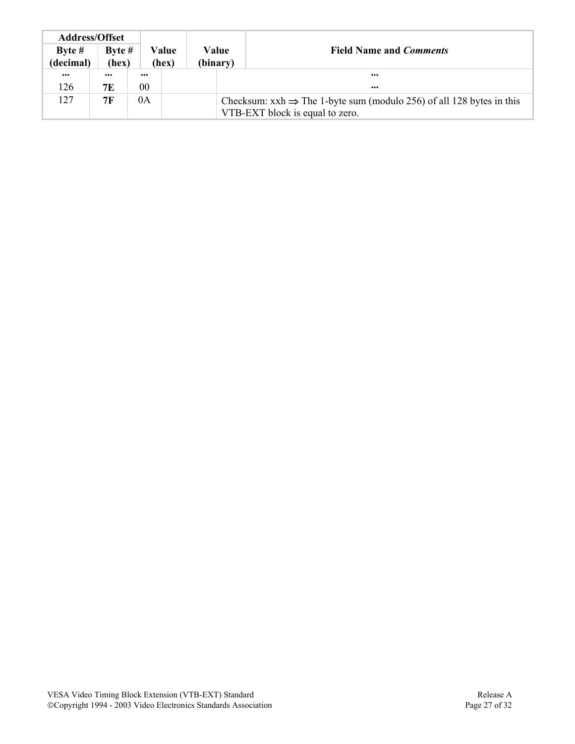| Byte $#$<br>(decimal) | <b>Address/Offset</b><br>Byte $#$<br>(hex) |          | Value<br>(hex) | Value<br>(binary) | <b>Field Name and Comments</b>                                                                                      |
|-----------------------|--------------------------------------------|----------|----------------|-------------------|---------------------------------------------------------------------------------------------------------------------|
| $\cdots$              | $\bullet\bullet\bullet$                    | $\cdots$ |                |                   | $\cdots$                                                                                                            |
| 126                   | 7E                                         | 00       |                |                   | $\cdots$                                                                                                            |
| 127                   | 7F                                         | 0A       |                |                   | Checksum: $xxh \Rightarrow$ The 1-byte sum (modulo 256) of all 128 bytes in this<br>VTB-EXT block is equal to zero. |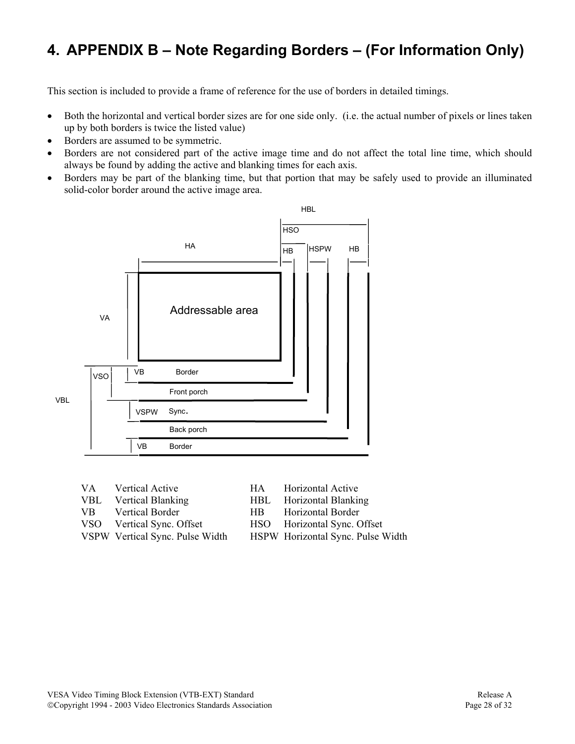# **4. APPENDIX B – Note Regarding Borders – (For Information Only)**

This section is included to provide a frame of reference for the use of borders in detailed timings.

- Both the horizontal and vertical border sizes are for one side only. (i.e. the actual number of pixels or lines taken up by both borders is twice the listed value)
- Borders are assumed to be symmetric.
- Borders are not considered part of the active image time and do not affect the total line time, which should always be found by adding the active and blanking times for each axis.
- Borders may be part of the blanking time, but that portion that may be safely used to provide an illuminated solid-color border around the active image area.



| VA – | <b>Vertical Active</b>          | HA.       | Ho |
|------|---------------------------------|-----------|----|
| VBL  | <b>Vertical Blanking</b>        | HBL.      | Ho |
| VB - | <b>Vertical Border</b>          | HB.       | Ho |
|      | VSO Vertical Sync. Offset       | HSO -     | Ho |
|      | VSPW Vertical Sync, Pulse Width | $HSPW$ Ho |    |

- rizontal Active
- vertical Blanking
- brizontal Border
- brizontal Sync. Offset
- Vertical Sync. Pulse Width HSPW Horizontal Sync. Pulse Width

VESA Video Timing Block Extension (VTB-EXT) Standard Release A Copyright 1994 - 2003 Video Electronics Standards Association Page 28 of 32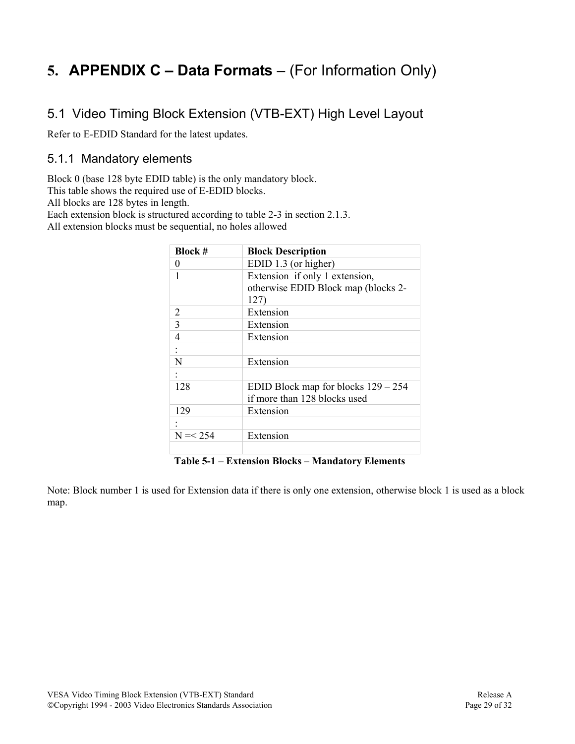# **5. APPENDIX C – Data Formats** – (For Information Only)

#### 5.1 Video Timing Block Extension (VTB-EXT) High Level Layout

Refer to E-EDID Standard for the latest updates.

#### 5.1.1 Mandatory elements

Block 0 (base 128 byte EDID table) is the only mandatory block.

This table shows the required use of E-EDID blocks.

All blocks are 128 bytes in length.

Each extension block is structured according to table 2-3 in section 2.1.3. All extension blocks must be sequential, no holes allowed

| <b>Block #</b> | <b>Block Description</b>              |
|----------------|---------------------------------------|
| $\theta$       | EDID 1.3 (or higher)                  |
|                | Extension if only 1 extension,        |
|                | otherwise EDID Block map (blocks 2-   |
|                | 127)                                  |
| 2              | Extension                             |
| 3              | Extension                             |
| 4              | Extension                             |
|                |                                       |
| N              | Extension                             |
|                |                                       |
| 128            | EDID Block map for blocks $129 - 254$ |
|                | if more than 128 blocks used          |
| 129            | Extension                             |
|                |                                       |
| $N = < 254$    | Extension                             |
|                |                                       |

**Table 5-1 – Extension Blocks – Mandatory Elements** 

Note: Block number 1 is used for Extension data if there is only one extension, otherwise block 1 is used as a block map.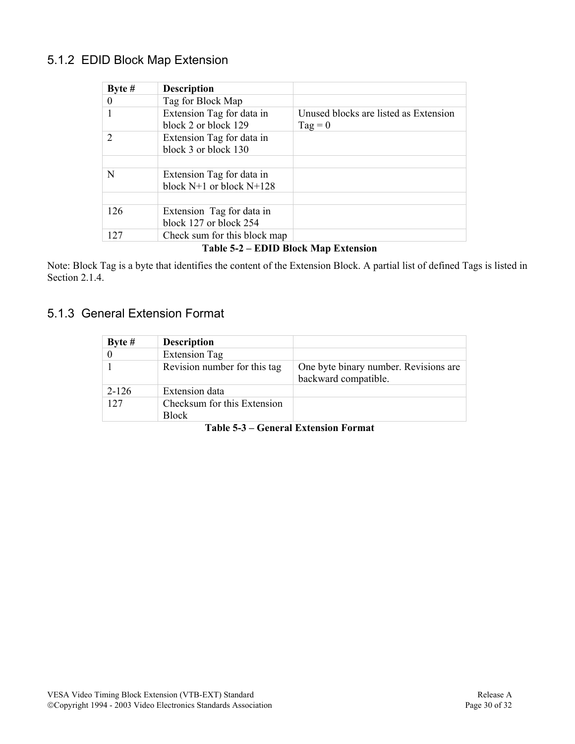## 5.1.2 EDID Block Map Extension

| Byte $#$                         | <b>Description</b>           |                                       |  |  |
|----------------------------------|------------------------------|---------------------------------------|--|--|
| 0                                | Tag for Block Map            |                                       |  |  |
|                                  | Extension Tag for data in    | Unused blocks are listed as Extension |  |  |
|                                  | block 2 or block 129         | $Tag = 0$                             |  |  |
| 2                                | Extension Tag for data in    |                                       |  |  |
|                                  | block 3 or block 130         |                                       |  |  |
|                                  |                              |                                       |  |  |
| N                                | Extension Tag for data in    |                                       |  |  |
|                                  | block $N+1$ or block $N+128$ |                                       |  |  |
|                                  |                              |                                       |  |  |
| 126                              | Extension Tag for data in    |                                       |  |  |
|                                  | block 127 or block 254       |                                       |  |  |
| 127                              | Check sum for this block map |                                       |  |  |
| $\epsilon$ a report $\mathbf{r}$ |                              |                                       |  |  |

#### **Table 5-2 – EDID Block Map Extension**

Note: Block Tag is a byte that identifies the content of the Extension Block. A partial list of defined Tags is listed in Section 2.1.4.

#### 5.1.3 General Extension Format

| Byte $#$  | <b>Description</b>                          |                                                               |
|-----------|---------------------------------------------|---------------------------------------------------------------|
|           | <b>Extension Tag</b>                        |                                                               |
|           | Revision number for this tag                | One byte binary number. Revisions are<br>backward compatible. |
| $2 - 126$ | <b>Extension</b> data                       |                                                               |
| 127       | Checksum for this Extension<br><b>Block</b> |                                                               |

**Table 5-3 – General Extension Format**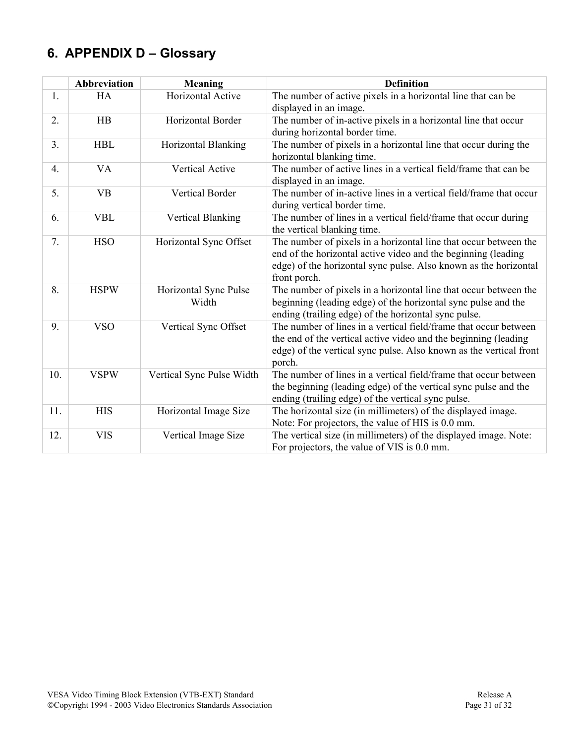# **6. APPENDIX D – Glossary**

|                | <b>Abbreviation</b> | <b>Meaning</b>                 | <b>Definition</b>                                                                                                                                                                                                     |
|----------------|---------------------|--------------------------------|-----------------------------------------------------------------------------------------------------------------------------------------------------------------------------------------------------------------------|
| 1.             | HA                  | Horizontal Active              | The number of active pixels in a horizontal line that can be<br>displayed in an image.                                                                                                                                |
| 2.             | HB                  | Horizontal Border              | The number of in-active pixels in a horizontal line that occur<br>during horizontal border time.                                                                                                                      |
| 3 <sub>1</sub> | <b>HBL</b>          | Horizontal Blanking            | The number of pixels in a horizontal line that occur during the<br>horizontal blanking time.                                                                                                                          |
| 4.             | <b>VA</b>           | <b>Vertical Active</b>         | The number of active lines in a vertical field/frame that can be<br>displayed in an image.                                                                                                                            |
| 5.             | <b>VB</b>           | Vertical Border                | The number of in-active lines in a vertical field/frame that occur<br>during vertical border time.                                                                                                                    |
| 6.             | <b>VBL</b>          | <b>Vertical Blanking</b>       | The number of lines in a vertical field/frame that occur during<br>the vertical blanking time.                                                                                                                        |
| 7.             | <b>HSO</b>          | Horizontal Sync Offset         | The number of pixels in a horizontal line that occur between the<br>end of the horizontal active video and the beginning (leading<br>edge) of the horizontal sync pulse. Also known as the horizontal<br>front porch. |
| 8.             | <b>HSPW</b>         | Horizontal Sync Pulse<br>Width | The number of pixels in a horizontal line that occur between the<br>beginning (leading edge) of the horizontal sync pulse and the<br>ending (trailing edge) of the horizontal sync pulse.                             |
| 9.             | <b>VSO</b>          | Vertical Sync Offset           | The number of lines in a vertical field/frame that occur between<br>the end of the vertical active video and the beginning (leading<br>edge) of the vertical sync pulse. Also known as the vertical front<br>porch.   |
| 10.            | <b>VSPW</b>         | Vertical Sync Pulse Width      | The number of lines in a vertical field/frame that occur between<br>the beginning (leading edge) of the vertical sync pulse and the<br>ending (trailing edge) of the vertical sync pulse.                             |
| 11.            | <b>HIS</b>          | Horizontal Image Size          | The horizontal size (in millimeters) of the displayed image.<br>Note: For projectors, the value of HIS is 0.0 mm.                                                                                                     |
| 12.            | <b>VIS</b>          | Vertical Image Size            | The vertical size (in millimeters) of the displayed image. Note:<br>For projectors, the value of VIS is 0.0 mm.                                                                                                       |